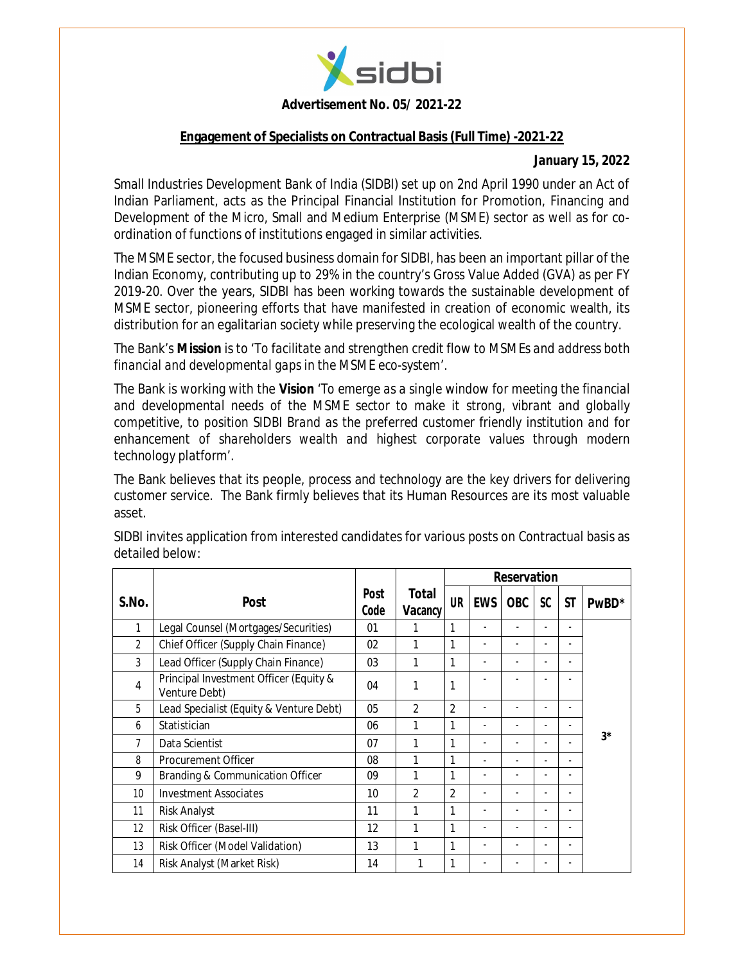

#### **Advertisement No. 05/ 2021-22**

#### **Engagement of Specialists on Contractual Basis (Full Time) -2021-22**

#### **January 15, 2022**

Small Industries Development Bank of India (SIDBI) set up on 2nd April 1990 under an Act of Indian Parliament, acts as the Principal Financial Institution for Promotion, Financing and Development of the Micro, Small and Medium Enterprise (MSME) sector as well as for coordination of functions of institutions engaged in similar activities.

The MSME sector, the focused business domain for SIDBI, has been an important pillar of the Indian Economy, contributing up to 29% in the country's Gross Value Added (GVA) as per FY 2019-20. Over the years, SIDBI has been working towards the sustainable development of MSME sector, pioneering efforts that have manifested in creation of economic wealth, its distribution for an egalitarian society while preserving the ecological wealth of the country.

The Bank's **Mission** is to *'To facilitate and strengthen credit flow to MSMEs and address both financial and developmental gaps in the MSME eco-system'*.

The Bank is working with the **Vision** *'To emerge as a single window for meeting the financial and developmental needs of the MSME sector to make it strong, vibrant and globally competitive, to position SIDBI Brand as the preferred customer friendly institution and for enhancement of shareholders wealth and highest corporate values through modern technology platform*'.

The Bank believes that its people, process and technology are the key drivers for delivering customer service. The Bank firmly believes that its Human Resources are its most valuable asset.

|                 |                                                         |                     |                  | <b>Reservation</b> |                          |            |           |                          |             |
|-----------------|---------------------------------------------------------|---------------------|------------------|--------------------|--------------------------|------------|-----------|--------------------------|-------------|
| S.No.           | <b>Post</b>                                             | <b>Post</b><br>Code | Total<br>Vacancy | <b>UR</b>          | <b>EWS</b>               | <b>OBC</b> | <b>SC</b> | <b>ST</b>                | PwBD*       |
|                 | Legal Counsel (Mortgages/Securities)                    | 01                  |                  | 1                  |                          |            |           | ٠                        |             |
| $\overline{2}$  | Chief Officer (Supply Chain Finance)                    | 02                  | 1                | 1                  |                          | ٠          | ٠         | $\blacksquare$           |             |
| 3               | Lead Officer (Supply Chain Finance)                     | 03                  | 1                | 1                  |                          |            |           |                          |             |
| 4               | Principal Investment Officer (Equity &<br>Venture Debt) | 04                  | 1                | 1                  |                          |            |           |                          |             |
| 5               | Lead Specialist (Equity & Venture Debt)                 | 05                  | $\overline{2}$   | $\mathfrak{D}$     |                          |            |           | $\blacksquare$           |             |
| 6               | Statistician                                            | 06                  |                  | 1                  | $\overline{\phantom{a}}$ |            | ٠         | $\overline{\phantom{a}}$ |             |
| 7               | Data Scientist                                          | 07                  | 1                | 1                  |                          |            | -         | ۰                        | $3^{\star}$ |
| 8               | Procurement Officer                                     | 08                  | 1                | 1                  |                          |            |           | ۰                        |             |
| 9               | Branding & Communication Officer                        | 09                  | 1                | 1                  |                          |            |           |                          |             |
| 10 <sup>°</sup> | <b>Investment Associates</b>                            | 10                  | $\mathfrak{D}$   | $\overline{2}$     |                          |            |           |                          |             |
| 11              | <b>Risk Analyst</b>                                     | 11                  | 1                | 1                  | -                        |            | ٠         | ٠                        |             |
| 12              | Risk Officer (Basel-III)                                | 12                  | 1                | 1                  |                          |            |           | $\blacksquare$           |             |
| 13              | Risk Officer (Model Validation)                         | 13                  | 1                | $\mathbf{1}$       |                          |            |           | ٠                        |             |
| 14              | Risk Analyst (Market Risk)                              | 14                  |                  | 1                  |                          |            |           | -                        |             |

SIDBI invites application from interested candidates for various posts on Contractual basis as detailed below: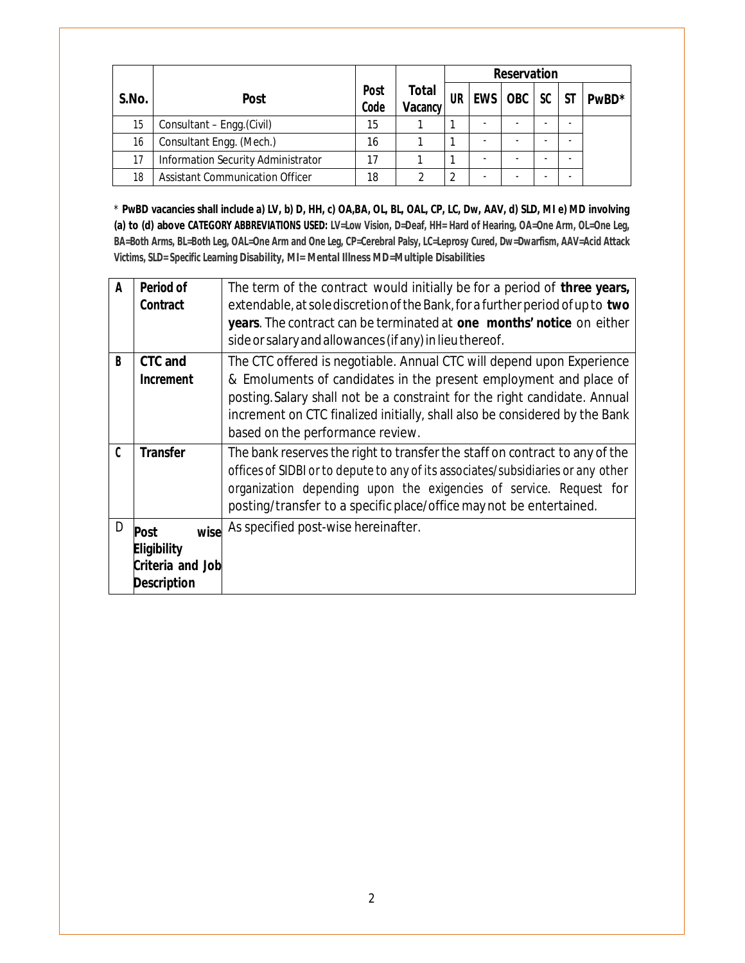|       |                                        |                     |                  |           |                          | <b>Reservation</b> |                          |           |                   |
|-------|----------------------------------------|---------------------|------------------|-----------|--------------------------|--------------------|--------------------------|-----------|-------------------|
| S.No. | <b>Post</b>                            | <b>Post</b><br>Code | Total<br>Vacancy | <b>UR</b> | <b>EWS</b>               | <b>OBC</b>         | SC                       | <b>ST</b> | PwBD <sup>*</sup> |
| 15    | Consultant - Engg. (Civil)             | 15                  |                  |           | $\overline{\phantom{a}}$ |                    | $\overline{\phantom{0}}$ |           |                   |
| 16    | Consultant Engg. (Mech.)               | 16                  |                  |           | -                        |                    | $\overline{\phantom{0}}$ |           |                   |
| 17    | Information Security Administrator     | 17                  |                  |           | -                        |                    | -                        |           |                   |
| 18    | <b>Assistant Communication Officer</b> | 18                  | ◠                | ◠         | $\overline{\phantom{a}}$ |                    | $\overline{\phantom{a}}$ |           |                   |

\* **PwBD vacancies shall include a) LV, b) D, HH, c) OA,BA, OL, BL, OAL, CP, LC, Dw, AAV, d) SLD, MI e) MD involving (a) to (d) above CATEGORY ABBREVIATIONS USED: LV=Low Vision, D=Deaf, HH= Hard of Hearing, OA=One Arm, OL=One Leg, BA=Both Arms, BL=Both Leg, OAL=One Arm and One Leg, CP=Cerebral Palsy, LC=Leprosy Cured, Dw=Dwarfism, AAV=Acid Attack Victims, SLD= Specific Learning Disability, MI= Mental Illness MD=Multiple Disabilities**

| A | Period of<br>Contract                                                               | The term of the contract would initially be for a period of three years,<br>extendable, at sole discretion of the Bank, for a further period of up to two<br>years. The contract can be terminated at one months' notice on either<br>side or salary and allowances (if any) in lieu thereof.                                             |
|---|-------------------------------------------------------------------------------------|-------------------------------------------------------------------------------------------------------------------------------------------------------------------------------------------------------------------------------------------------------------------------------------------------------------------------------------------|
| B | <b>CTC and</b><br>Increment                                                         | The CTC offered is negotiable. Annual CTC will depend upon Experience<br>& Emoluments of candidates in the present employment and place of<br>posting. Salary shall not be a constraint for the right candidate. Annual<br>increment on CTC finalized initially, shall also be considered by the Bank<br>based on the performance review. |
| C | <b>Transfer</b>                                                                     | The bank reserves the right to transfer the staff on contract to any of the<br>offices of SIDBI or to depute to any of its associates/subsidiaries or any other<br>organization depending upon the exigencies of service. Request for<br>posting/transfer to a specific place/office may not be entertained.                              |
| D | wise<br><b>Post</b><br><b>Eligibility</b><br>Criteria and Job<br><b>Description</b> | As specified post-wise hereinafter.                                                                                                                                                                                                                                                                                                       |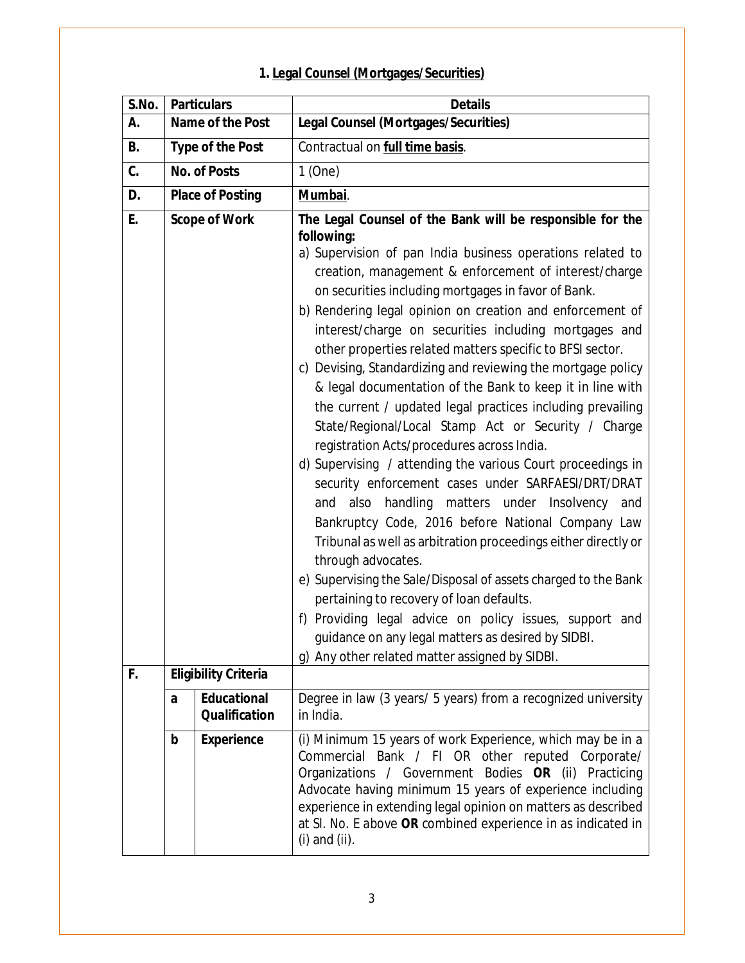|  |  |  |  |  | 1. Legal Counsel (Mortgages/Securities) |
|--|--|--|--|--|-----------------------------------------|
|--|--|--|--|--|-----------------------------------------|

| S.No. |   | <b>Particulars</b>                         | <b>Details</b>                                                                                                                                                                                                                                                                                                                                                                                                                                                                                                                                                                                                                                                                                                                                                                                                                                                                                                                                                                                                                                                                                                                                                                                                                                                                                                                                         |
|-------|---|--------------------------------------------|--------------------------------------------------------------------------------------------------------------------------------------------------------------------------------------------------------------------------------------------------------------------------------------------------------------------------------------------------------------------------------------------------------------------------------------------------------------------------------------------------------------------------------------------------------------------------------------------------------------------------------------------------------------------------------------------------------------------------------------------------------------------------------------------------------------------------------------------------------------------------------------------------------------------------------------------------------------------------------------------------------------------------------------------------------------------------------------------------------------------------------------------------------------------------------------------------------------------------------------------------------------------------------------------------------------------------------------------------------|
| А.    |   | Name of the Post                           | Legal Counsel (Mortgages/Securities)                                                                                                                                                                                                                                                                                                                                                                                                                                                                                                                                                                                                                                                                                                                                                                                                                                                                                                                                                                                                                                                                                                                                                                                                                                                                                                                   |
| В.    |   | <b>Type of the Post</b>                    | Contractual on full time basis.                                                                                                                                                                                                                                                                                                                                                                                                                                                                                                                                                                                                                                                                                                                                                                                                                                                                                                                                                                                                                                                                                                                                                                                                                                                                                                                        |
| C.    |   | <b>No. of Posts</b>                        | 1(One)                                                                                                                                                                                                                                                                                                                                                                                                                                                                                                                                                                                                                                                                                                                                                                                                                                                                                                                                                                                                                                                                                                                                                                                                                                                                                                                                                 |
| D.    |   | <b>Place of Posting</b>                    | Mumbai.                                                                                                                                                                                                                                                                                                                                                                                                                                                                                                                                                                                                                                                                                                                                                                                                                                                                                                                                                                                                                                                                                                                                                                                                                                                                                                                                                |
| Ε.    |   | <b>Scope of Work</b>                       | The Legal Counsel of the Bank will be responsible for the<br>following:<br>a) Supervision of pan India business operations related to<br>creation, management & enforcement of interest/charge<br>on securities including mortgages in favor of Bank.<br>b) Rendering legal opinion on creation and enforcement of<br>interest/charge on securities including mortgages and<br>other properties related matters specific to BFSI sector.<br>c) Devising, Standardizing and reviewing the mortgage policy<br>& legal documentation of the Bank to keep it in line with<br>the current / updated legal practices including prevailing<br>State/Regional/Local Stamp Act or Security / Charge<br>registration Acts/procedures across India.<br>d) Supervising / attending the various Court proceedings in<br>security enforcement cases under SARFAESI/DRT/DRAT<br>also<br>handling matters under Insolvency<br>and<br>and<br>Bankruptcy Code, 2016 before National Company Law<br>Tribunal as well as arbitration proceedings either directly or<br>through advocates.<br>e) Supervising the Sale/Disposal of assets charged to the Bank<br>pertaining to recovery of loan defaults.<br>f) Providing legal advice on policy issues, support and<br>guidance on any legal matters as desired by SIDBI.<br>g) Any other related matter assigned by SIDBI. |
| F.    |   | <b>Eligibility Criteria</b>                |                                                                                                                                                                                                                                                                                                                                                                                                                                                                                                                                                                                                                                                                                                                                                                                                                                                                                                                                                                                                                                                                                                                                                                                                                                                                                                                                                        |
|       | a | <b>Educational</b><br><b>Qualification</b> | Degree in law (3 years/ 5 years) from a recognized university<br>in India.                                                                                                                                                                                                                                                                                                                                                                                                                                                                                                                                                                                                                                                                                                                                                                                                                                                                                                                                                                                                                                                                                                                                                                                                                                                                             |
|       | b | <b>Experience</b>                          | (i) Minimum 15 years of work Experience, which may be in a<br>Commercial Bank / FI OR other reputed Corporate/<br>Organizations / Government Bodies OR (ii)<br>Practicing<br>Advocate having minimum 15 years of experience including<br>experience in extending legal opinion on matters as described<br>at SI. No. E above OR combined experience in as indicated in<br>$(i)$ and $(ii)$ .                                                                                                                                                                                                                                                                                                                                                                                                                                                                                                                                                                                                                                                                                                                                                                                                                                                                                                                                                           |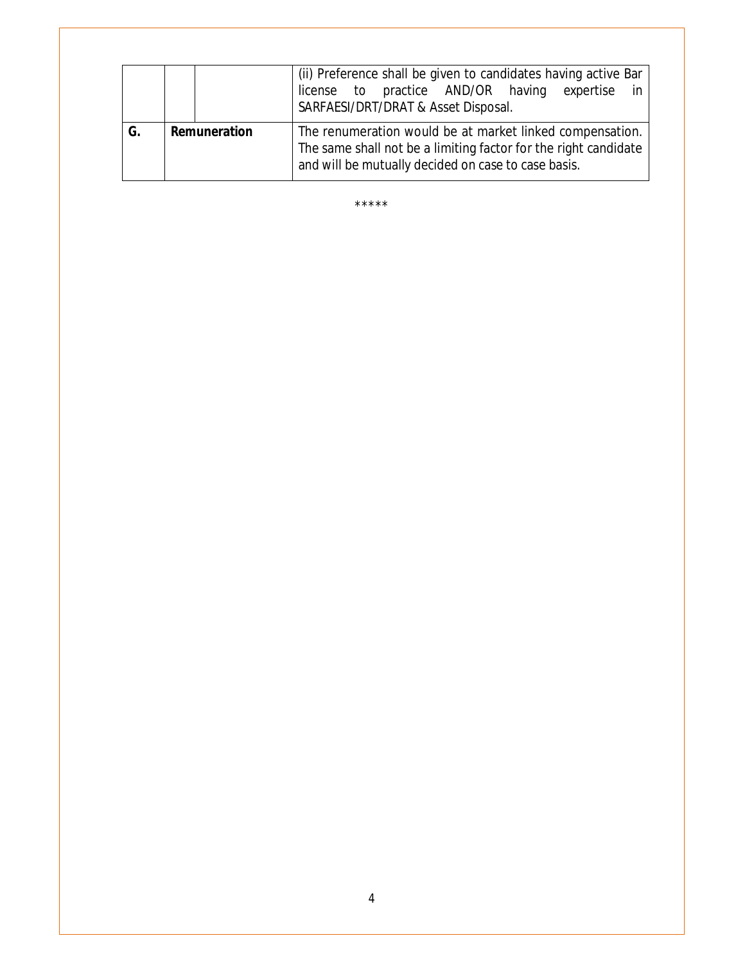|    |              |  | (ii) Preference shall be given to candidates having active Bar<br>license to practice AND/OR having<br>expertise<br>SARFAESI/DRT/DRAT & Asset Disposal.                            |  |  |  |  |
|----|--------------|--|------------------------------------------------------------------------------------------------------------------------------------------------------------------------------------|--|--|--|--|
| G. | Remuneration |  | The renumeration would be at market linked compensation.<br>The same shall not be a limiting factor for the right candidate<br>and will be mutually decided on case to case basis. |  |  |  |  |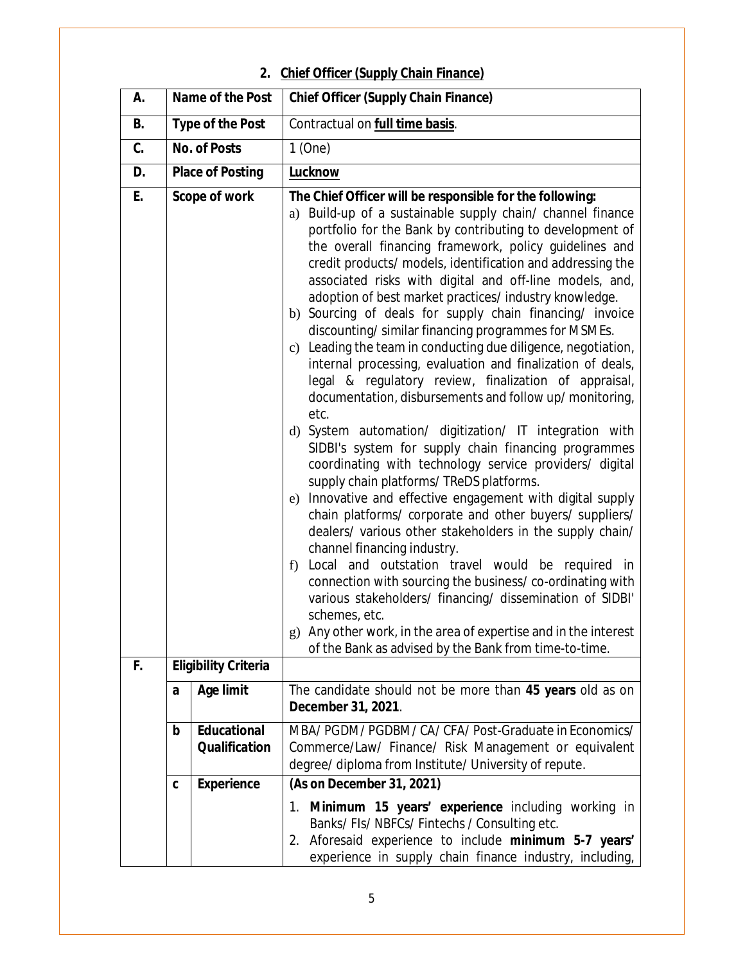# **2. Chief Officer (Supply Chain Finance)**

| А.       |   | Name of the Post                             | <b>Chief Officer (Supply Chain Finance)</b>                                                                                                                                                                                                                                                                                                                                                                                                                                                                                                                                                                                                                                                                                                                                                                                                                                                                                                                                                                                                                                                                                                                                                                                                                                                                                                                                                                                                                                                                                                                                                   |
|----------|---|----------------------------------------------|-----------------------------------------------------------------------------------------------------------------------------------------------------------------------------------------------------------------------------------------------------------------------------------------------------------------------------------------------------------------------------------------------------------------------------------------------------------------------------------------------------------------------------------------------------------------------------------------------------------------------------------------------------------------------------------------------------------------------------------------------------------------------------------------------------------------------------------------------------------------------------------------------------------------------------------------------------------------------------------------------------------------------------------------------------------------------------------------------------------------------------------------------------------------------------------------------------------------------------------------------------------------------------------------------------------------------------------------------------------------------------------------------------------------------------------------------------------------------------------------------------------------------------------------------------------------------------------------------|
| В.       |   | <b>Type of the Post</b>                      | Contractual on full time basis.                                                                                                                                                                                                                                                                                                                                                                                                                                                                                                                                                                                                                                                                                                                                                                                                                                                                                                                                                                                                                                                                                                                                                                                                                                                                                                                                                                                                                                                                                                                                                               |
| C.       |   | <b>No. of Posts</b>                          | $1$ (One)                                                                                                                                                                                                                                                                                                                                                                                                                                                                                                                                                                                                                                                                                                                                                                                                                                                                                                                                                                                                                                                                                                                                                                                                                                                                                                                                                                                                                                                                                                                                                                                     |
| D.       |   | <b>Place of Posting</b>                      | <b>Lucknow</b>                                                                                                                                                                                                                                                                                                                                                                                                                                                                                                                                                                                                                                                                                                                                                                                                                                                                                                                                                                                                                                                                                                                                                                                                                                                                                                                                                                                                                                                                                                                                                                                |
| E.<br>F. |   | Scope of work<br><b>Eligibility Criteria</b> | The Chief Officer will be responsible for the following:<br>a) Build-up of a sustainable supply chain/ channel finance<br>portfolio for the Bank by contributing to development of<br>the overall financing framework, policy guidelines and<br>credit products/ models, identification and addressing the<br>associated risks with digital and off-line models, and,<br>adoption of best market practices/ industry knowledge.<br>b) Sourcing of deals for supply chain financing/ invoice<br>discounting/similar financing programmes for MSMEs.<br>c) Leading the team in conducting due diligence, negotiation,<br>internal processing, evaluation and finalization of deals,<br>legal & regulatory review, finalization of appraisal,<br>documentation, disbursements and follow up/ monitoring,<br>etc.<br>d) System automation/ digitization/ IT integration with<br>SIDBI's system for supply chain financing programmes<br>coordinating with technology service providers/ digital<br>supply chain platforms/ TReDS platforms.<br>Innovative and effective engagement with digital supply<br>e)<br>chain platforms/ corporate and other buyers/ suppliers/<br>dealers/ various other stakeholders in the supply chain/<br>channel financing industry.<br>Local and outstation travel would be required in<br>f)<br>connection with sourcing the business/co-ordinating with<br>various stakeholders/ financing/ dissemination of SIDBI'<br>schemes, etc.<br>g) Any other work, in the area of expertise and in the interest<br>of the Bank as advised by the Bank from time-to-time. |
|          |   |                                              |                                                                                                                                                                                                                                                                                                                                                                                                                                                                                                                                                                                                                                                                                                                                                                                                                                                                                                                                                                                                                                                                                                                                                                                                                                                                                                                                                                                                                                                                                                                                                                                               |
|          | a | <b>Age limit</b>                             | The candidate should not be more than 45 years old as on<br>December 31, 2021.                                                                                                                                                                                                                                                                                                                                                                                                                                                                                                                                                                                                                                                                                                                                                                                                                                                                                                                                                                                                                                                                                                                                                                                                                                                                                                                                                                                                                                                                                                                |
|          | b | <b>Educational</b><br><b>Qualification</b>   | MBA/PGDM/PGDBM/CA/CFA/Post-Graduate in Economics/<br>Commerce/Law/ Finance/ Risk Management or equivalent<br>degree/ diploma from Institute/ University of repute.                                                                                                                                                                                                                                                                                                                                                                                                                                                                                                                                                                                                                                                                                                                                                                                                                                                                                                                                                                                                                                                                                                                                                                                                                                                                                                                                                                                                                            |
|          | C | <b>Experience</b>                            | (As on December 31, 2021)                                                                                                                                                                                                                                                                                                                                                                                                                                                                                                                                                                                                                                                                                                                                                                                                                                                                                                                                                                                                                                                                                                                                                                                                                                                                                                                                                                                                                                                                                                                                                                     |
|          |   |                                              | 1. Minimum 15 years' experience including working in<br>Banks/FIs/NBFCs/Fintechs/Consulting etc.<br>2. Aforesaid experience to include minimum 5-7 years'<br>experience in supply chain finance industry, including,                                                                                                                                                                                                                                                                                                                                                                                                                                                                                                                                                                                                                                                                                                                                                                                                                                                                                                                                                                                                                                                                                                                                                                                                                                                                                                                                                                          |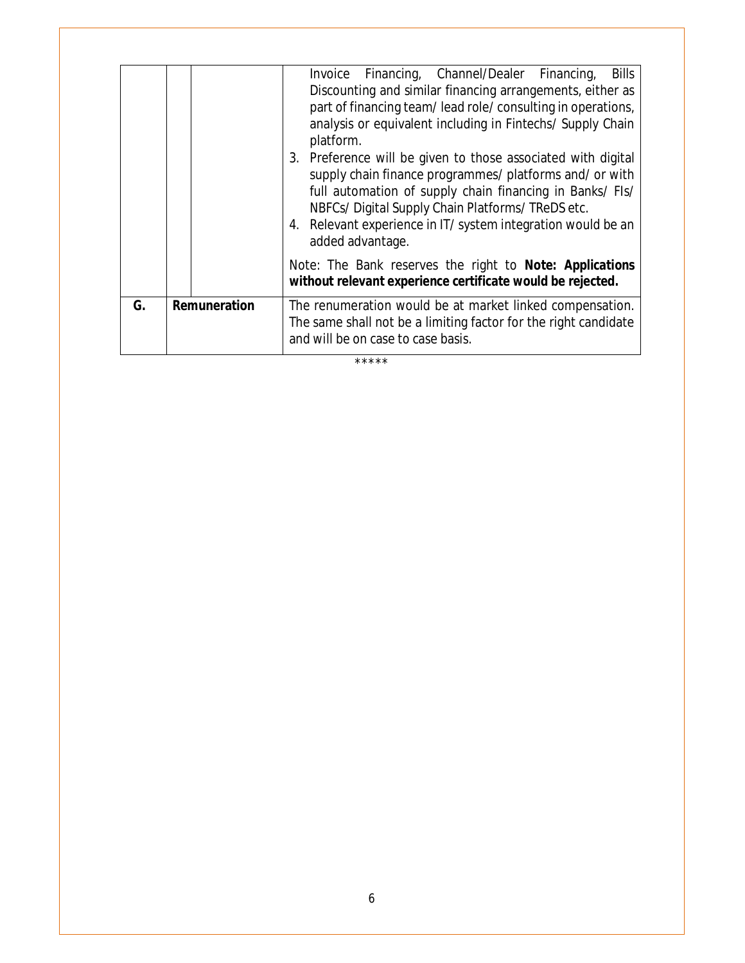|    |              | Invoice Financing, Channel/Dealer Financing,<br><b>Bills</b>                                                                                                                                                                                                                                                               |
|----|--------------|----------------------------------------------------------------------------------------------------------------------------------------------------------------------------------------------------------------------------------------------------------------------------------------------------------------------------|
|    |              | Discounting and similar financing arrangements, either as<br>part of financing team/lead role/consulting in operations,<br>analysis or equivalent including in Fintechs/ Supply Chain<br>platform.                                                                                                                         |
|    |              | 3. Preference will be given to those associated with digital<br>supply chain finance programmes/ platforms and/ or with<br>full automation of supply chain financing in Banks/ FIs/<br>NBFCs/Digital Supply Chain Platforms/TReDS etc.<br>4. Relevant experience in IT/ system integration would be an<br>added advantage. |
|    |              | Note: The Bank reserves the right to Note: Applications<br>without relevant experience certificate would be rejected.                                                                                                                                                                                                      |
| G. | Remuneration | The renumeration would be at market linked compensation.<br>The same shall not be a limiting factor for the right candidate<br>and will be on case to case basis.                                                                                                                                                          |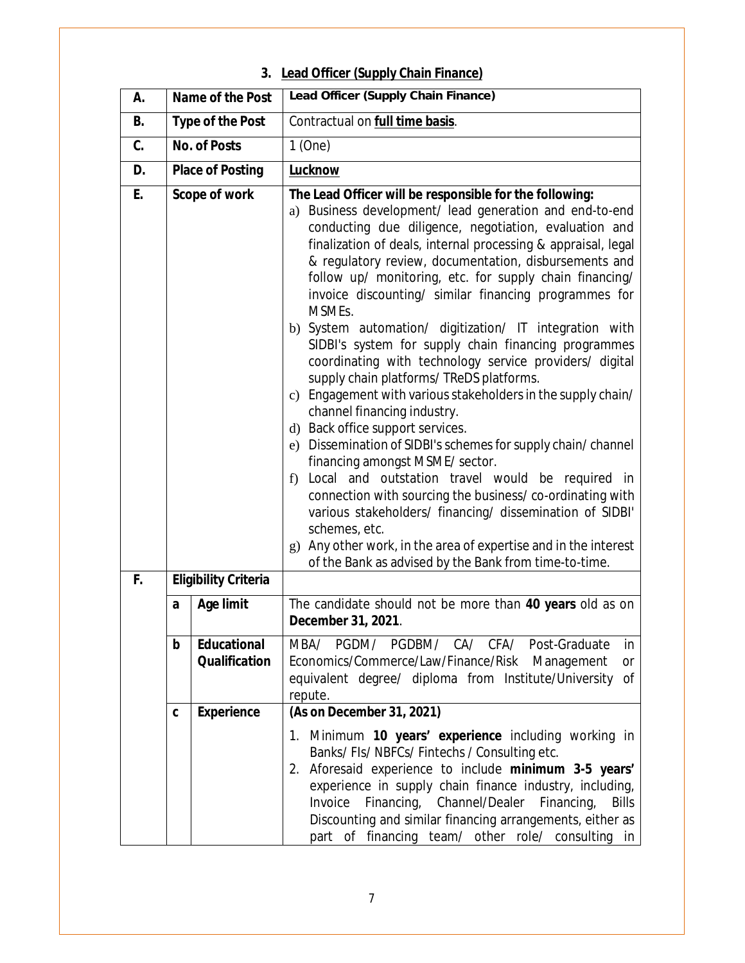# **3. Lead Officer (Supply Chain Finance)**

| А. |   | Name of the Post                           | Lead Officer (Supply Chain Finance)                                                                                                                                                                                                                                                                                                                                                                                                                                                                                                                                                                                                                                                                                                                                                                                                                                                                                                                                                                                                                                                                                                                                                                                                          |
|----|---|--------------------------------------------|----------------------------------------------------------------------------------------------------------------------------------------------------------------------------------------------------------------------------------------------------------------------------------------------------------------------------------------------------------------------------------------------------------------------------------------------------------------------------------------------------------------------------------------------------------------------------------------------------------------------------------------------------------------------------------------------------------------------------------------------------------------------------------------------------------------------------------------------------------------------------------------------------------------------------------------------------------------------------------------------------------------------------------------------------------------------------------------------------------------------------------------------------------------------------------------------------------------------------------------------|
| В. |   | <b>Type of the Post</b>                    | Contractual on full time basis.                                                                                                                                                                                                                                                                                                                                                                                                                                                                                                                                                                                                                                                                                                                                                                                                                                                                                                                                                                                                                                                                                                                                                                                                              |
| C. |   | <b>No. of Posts</b>                        | $1$ (One)                                                                                                                                                                                                                                                                                                                                                                                                                                                                                                                                                                                                                                                                                                                                                                                                                                                                                                                                                                                                                                                                                                                                                                                                                                    |
| D. |   | <b>Place of Posting</b>                    | <b>Lucknow</b>                                                                                                                                                                                                                                                                                                                                                                                                                                                                                                                                                                                                                                                                                                                                                                                                                                                                                                                                                                                                                                                                                                                                                                                                                               |
| E. |   | Scope of work                              | The Lead Officer will be responsible for the following:<br>a) Business development/ lead generation and end-to-end<br>conducting due diligence, negotiation, evaluation and<br>finalization of deals, internal processing & appraisal, legal<br>& regulatory review, documentation, disbursements and<br>follow up/ monitoring, etc. for supply chain financing/<br>invoice discounting/ similar financing programmes for<br>MSMEs.<br>b) System automation/ digitization/ IT integration with<br>SIDBI's system for supply chain financing programmes<br>coordinating with technology service providers/ digital<br>supply chain platforms/ TReDS platforms.<br>c) Engagement with various stakeholders in the supply chain/<br>channel financing industry.<br>d) Back office support services.<br>e) Dissemination of SIDBI's schemes for supply chain/channel<br>financing amongst MSME/ sector.<br>f) Local and outstation travel would be required in<br>connection with sourcing the business/co-ordinating with<br>various stakeholders/ financing/ dissemination of SIDBI'<br>schemes, etc.<br>Any other work, in the area of expertise and in the interest<br>$\mathbf{g}$<br>of the Bank as advised by the Bank from time-to-time. |
| F. |   | <b>Eligibility Criteria</b>                |                                                                                                                                                                                                                                                                                                                                                                                                                                                                                                                                                                                                                                                                                                                                                                                                                                                                                                                                                                                                                                                                                                                                                                                                                                              |
|    | a | <b>Age limit</b>                           | The candidate should not be more than 40 years old as on<br>December 31, 2021.                                                                                                                                                                                                                                                                                                                                                                                                                                                                                                                                                                                                                                                                                                                                                                                                                                                                                                                                                                                                                                                                                                                                                               |
|    | b | <b>Educational</b><br><b>Qualification</b> | MBA/ PGDM/ PGDBM/ CA/ CFA/ Post-Graduate<br>in<br>Economics/Commerce/Law/Finance/Risk Management<br><b>or</b><br>equivalent degree/ diploma from Institute/University<br>0f<br>repute.                                                                                                                                                                                                                                                                                                                                                                                                                                                                                                                                                                                                                                                                                                                                                                                                                                                                                                                                                                                                                                                       |
|    | C | <b>Experience</b>                          | (As on December 31, 2021)<br>1. Minimum 10 years' experience including working in<br>Banks/FIs/NBFCs/Fintechs/Consulting etc.<br>2. Aforesaid experience to include minimum 3-5 years'<br>experience in supply chain finance industry, including,<br>Financing, Channel/Dealer<br>Invoice<br>Financing,<br><b>Bills</b><br>Discounting and similar financing arrangements, either as<br>part of financing team/ other role/ consulting in                                                                                                                                                                                                                                                                                                                                                                                                                                                                                                                                                                                                                                                                                                                                                                                                    |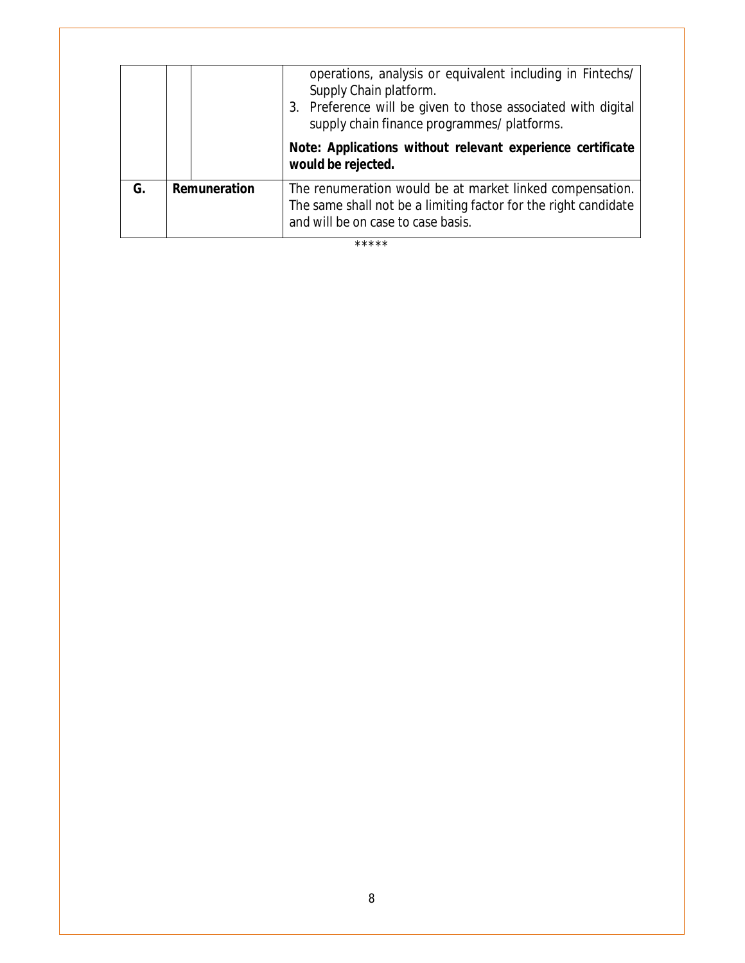|    |              | operations, analysis or equivalent including in Fintechs/<br>Supply Chain platform.<br>3. Preference will be given to those associated with digital<br>supply chain finance programmes/ platforms. |
|----|--------------|----------------------------------------------------------------------------------------------------------------------------------------------------------------------------------------------------|
|    |              | Note: Applications without relevant experience certificate<br>would be rejected.                                                                                                                   |
| G. | Remuneration | The renumeration would be at market linked compensation.<br>The same shall not be a limiting factor for the right candidate<br>and will be on case to case basis.                                  |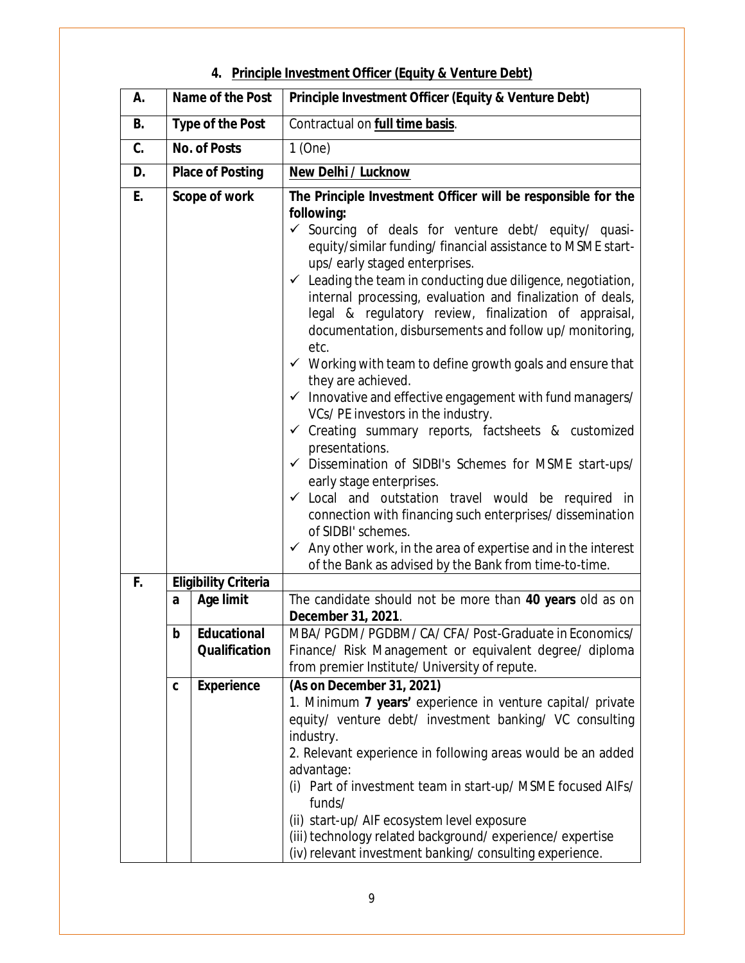| А. |   | Name of the Post                           | Principle Investment Officer (Equity & Venture Debt)                                                                                                                                                                                                                                                                                                                                                                                                                                                                                                                                                                                                                           |
|----|---|--------------------------------------------|--------------------------------------------------------------------------------------------------------------------------------------------------------------------------------------------------------------------------------------------------------------------------------------------------------------------------------------------------------------------------------------------------------------------------------------------------------------------------------------------------------------------------------------------------------------------------------------------------------------------------------------------------------------------------------|
| В. |   | <b>Type of the Post</b>                    | Contractual on full time basis.                                                                                                                                                                                                                                                                                                                                                                                                                                                                                                                                                                                                                                                |
| C. |   | <b>No. of Posts</b>                        | 1(One)                                                                                                                                                                                                                                                                                                                                                                                                                                                                                                                                                                                                                                                                         |
| D. |   | <b>Place of Posting</b>                    | <b>New Delhi / Lucknow</b>                                                                                                                                                                                                                                                                                                                                                                                                                                                                                                                                                                                                                                                     |
| E. |   | Scope of work                              | The Principle Investment Officer will be responsible for the<br>following:<br>✔ Sourcing of deals for venture debt/ equity/ quasi-<br>equity/similar funding/ financial assistance to MSME start-<br>ups/early staged enterprises.<br>$\checkmark$ Leading the team in conducting due diligence, negotiation,<br>internal processing, evaluation and finalization of deals,<br>legal & regulatory review, finalization of appraisal,<br>documentation, disbursements and follow up/ monitoring,<br>etc.<br>$\checkmark$ Working with team to define growth goals and ensure that<br>they are achieved.<br>$\checkmark$ Innovative and effective engagement with fund managers/ |
|    |   |                                            | VCs/PE investors in the industry.<br>$\checkmark$ Creating summary reports, factsheets & customized<br>presentations.<br>√ Dissemination of SIDBI's Schemes for MSME start-ups/<br>early stage enterprises.<br>$\checkmark$ Local and outstation travel would be required in<br>connection with financing such enterprises/dissemination<br>of SIDBI' schemes.<br>Any other work, in the area of expertise and in the interest<br>$\checkmark$<br>of the Bank as advised by the Bank from time-to-time.                                                                                                                                                                        |
| F. |   | <b>Eligibility Criteria</b>                |                                                                                                                                                                                                                                                                                                                                                                                                                                                                                                                                                                                                                                                                                |
|    | a | <b>Age limit</b>                           | The candidate should not be more than 40 years old as on<br>December 31, 2021.                                                                                                                                                                                                                                                                                                                                                                                                                                                                                                                                                                                                 |
|    | b | <b>Educational</b><br><b>Qualification</b> | MBA/PGDM/PGDBM/CA/CFA/Post-Graduate in Economics/<br>Finance/ Risk Management or equivalent degree/ diploma<br>from premier Institute/ University of repute.                                                                                                                                                                                                                                                                                                                                                                                                                                                                                                                   |
|    | C | <b>Experience</b>                          | (As on December 31, 2021)<br>1. Minimum 7 years' experience in venture capital/ private<br>equity/ venture debt/ investment banking/ VC consulting<br>industry.<br>2. Relevant experience in following areas would be an added<br>advantage:<br>Part of investment team in start-up/ MSME focused AIFs/<br>(i)<br>funds/<br>(ii) start-up/ AIF ecosystem level exposure<br>(iii) technology related background/experience/expertise<br>(iv) relevant investment banking/consulting experience.                                                                                                                                                                                 |

#### **4. Principle Investment Officer (Equity & Venture Debt)**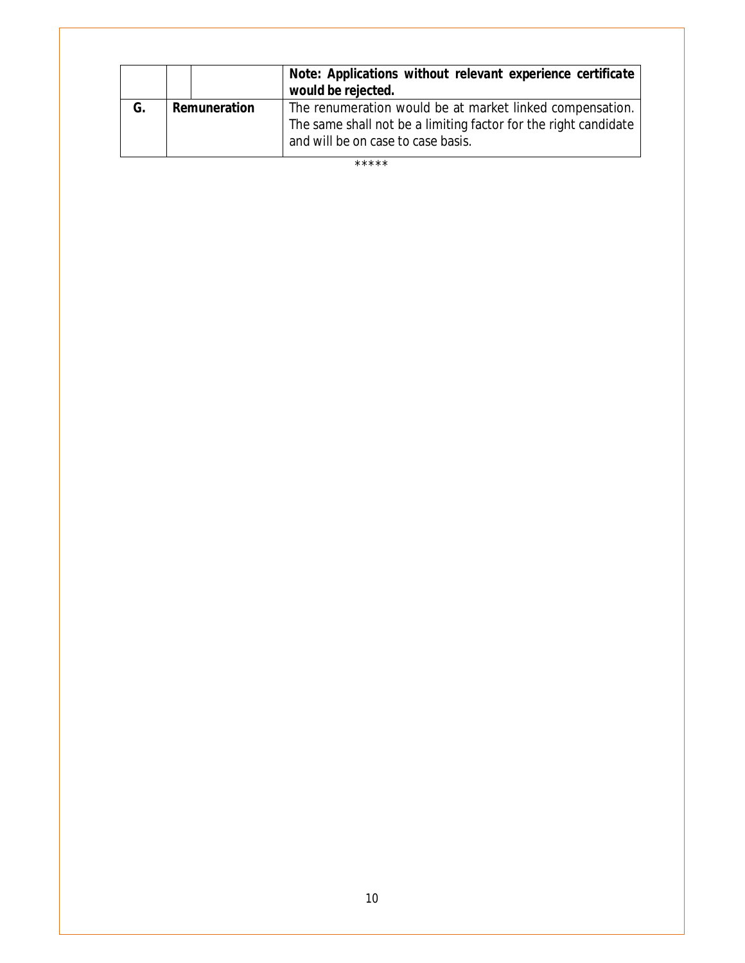|    |              | Note: Applications without relevant experience certificate<br>would be rejected.                      |
|----|--------------|-------------------------------------------------------------------------------------------------------|
| G. | Remuneration | The renumeration would be at market linked compensation.                                              |
|    |              | The same shall not be a limiting factor for the right candidate<br>and will be on case to case basis. |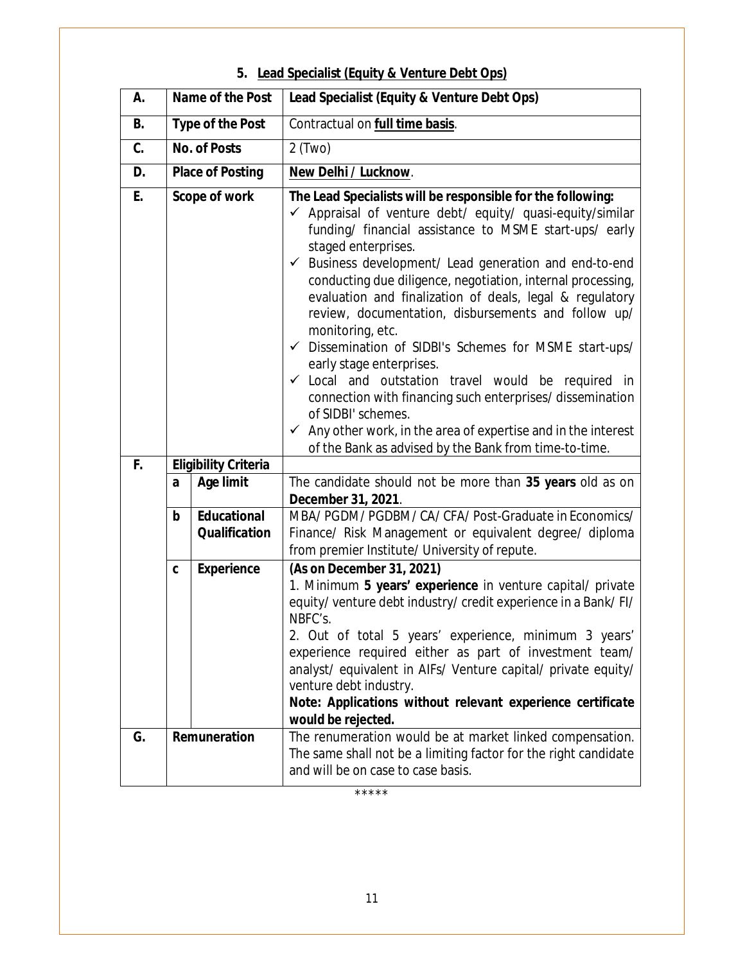#### **A. Name of the Post Lead Specialist (Equity & Venture Debt Ops) B. Type of the Post Contractual on full time basis. C. No. of Posts**  $2$  (Two) **D. Place of Posting New Delhi / Lucknow**. **E. Scope of work The Lead Specialists will be responsible for the following:**  $\checkmark$  Appraisal of venture debt/ equity/ quasi-equity/similar funding/ financial assistance to MSME start-ups/ early staged enterprises.  $\checkmark$  Business development/ Lead generation and end-to-end conducting due diligence, negotiation, internal processing, evaluation and finalization of deals, legal & regulatory review, documentation, disbursements and follow up/ monitoring, etc.  $\checkmark$  Dissemination of SIDBI's Schemes for MSME start-ups/ early stage enterprises.  $\checkmark$  Local and outstation travel would be required in connection with financing such enterprises/ dissemination of SIDBI' schemes.  $\checkmark$  Any other work, in the area of expertise and in the interest of the Bank as advised by the Bank from time-to-time. **F. Eligibility Criteria a Age limit** The candidate should not be more than **35 years** old as on **December 31, 2021**. **b Educational Qualification** MBA/ PGDM/ PGDBM/ CA/ CFA/ Post-Graduate in Economics/ Finance/ Risk Management or equivalent degree/ diploma from premier Institute/ University of repute. **c Experience** *(As on December 31, 2021)* 1. Minimum **5 years' experience** in venture capital/ private equity/ venture debt industry/ credit experience in a Bank/ FI/ NBFC's. 2. Out of total 5 years' experience, minimum 3 years' experience required either as part of investment team/ analyst/ equivalent in AIFs/ Venture capital/ private equity/ venture debt industry. **Note:** *Applications without relevant experience certificate would be rejected.* **G. Remuneration** The renumeration would be at market linked compensation. The same shall not be a limiting factor for the right candidate and will be on case to case basis.

#### **5. Lead Specialist (Equity & Venture Debt Ops)**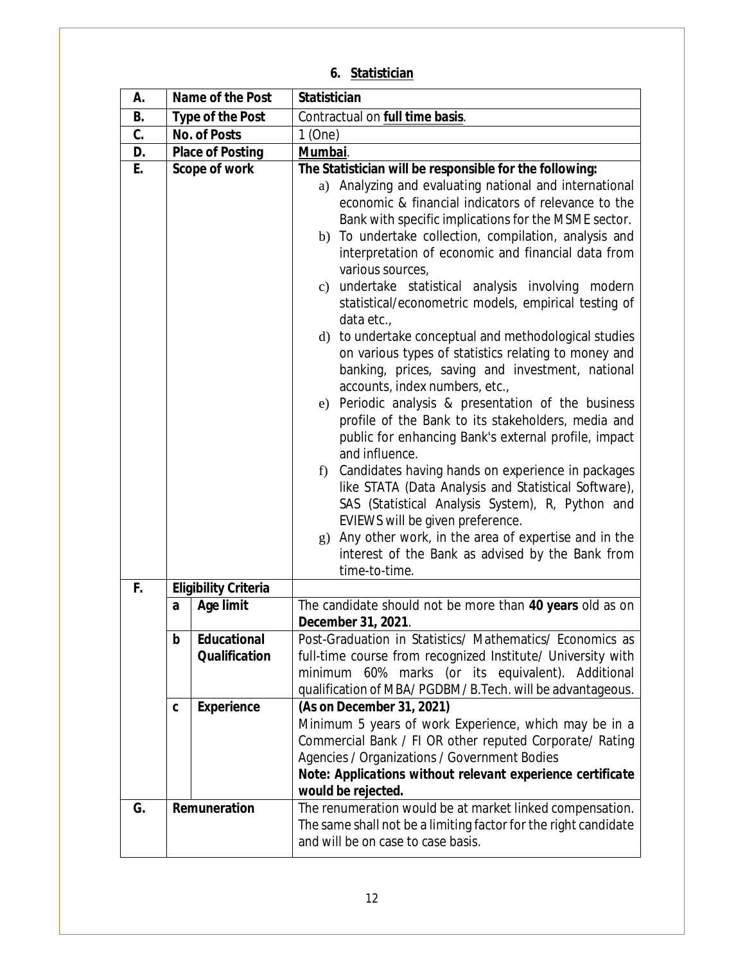| A. | Name of the Post        |                             | <b>Statistician</b>                                                                                                                                                                                                                                                                                                                                                                                                                                                                                                                                                                                                                                                                                                                                                                                                                                                                                                                                                                                                                                                                                                                                           |
|----|-------------------------|-----------------------------|---------------------------------------------------------------------------------------------------------------------------------------------------------------------------------------------------------------------------------------------------------------------------------------------------------------------------------------------------------------------------------------------------------------------------------------------------------------------------------------------------------------------------------------------------------------------------------------------------------------------------------------------------------------------------------------------------------------------------------------------------------------------------------------------------------------------------------------------------------------------------------------------------------------------------------------------------------------------------------------------------------------------------------------------------------------------------------------------------------------------------------------------------------------|
| В. | <b>Type of the Post</b> |                             | Contractual on full time basis.                                                                                                                                                                                                                                                                                                                                                                                                                                                                                                                                                                                                                                                                                                                                                                                                                                                                                                                                                                                                                                                                                                                               |
| C. | <b>No. of Posts</b>     |                             | $1$ (One)                                                                                                                                                                                                                                                                                                                                                                                                                                                                                                                                                                                                                                                                                                                                                                                                                                                                                                                                                                                                                                                                                                                                                     |
| D. |                         | <b>Place of Posting</b>     | Mumbai.                                                                                                                                                                                                                                                                                                                                                                                                                                                                                                                                                                                                                                                                                                                                                                                                                                                                                                                                                                                                                                                                                                                                                       |
| E. |                         | <b>Scope of work</b>        | The Statistician will be responsible for the following:                                                                                                                                                                                                                                                                                                                                                                                                                                                                                                                                                                                                                                                                                                                                                                                                                                                                                                                                                                                                                                                                                                       |
|    |                         |                             | Analyzing and evaluating national and international<br>a)<br>economic & financial indicators of relevance to the<br>Bank with specific implications for the MSME sector.<br>b) To undertake collection, compilation, analysis and<br>interpretation of economic and financial data from<br>various sources,<br>c) undertake statistical analysis involving modern<br>statistical/econometric models, empirical testing of<br>data etc.,<br>d) to undertake conceptual and methodological studies<br>on various types of statistics relating to money and<br>banking, prices, saving and investment, national<br>accounts, index numbers, etc.,<br>e) Periodic analysis & presentation of the business<br>profile of the Bank to its stakeholders, media and<br>public for enhancing Bank's external profile, impact<br>and influence.<br>Candidates having hands on experience in packages<br>f<br>like STATA (Data Analysis and Statistical Software),<br>SAS (Statistical Analysis System), R, Python and<br>EVIEWS will be given preference.<br>g) Any other work, in the area of expertise and in the<br>interest of the Bank as advised by the Bank from |
|    |                         |                             | time-to-time.                                                                                                                                                                                                                                                                                                                                                                                                                                                                                                                                                                                                                                                                                                                                                                                                                                                                                                                                                                                                                                                                                                                                                 |
| F. |                         | <b>Eligibility Criteria</b> |                                                                                                                                                                                                                                                                                                                                                                                                                                                                                                                                                                                                                                                                                                                                                                                                                                                                                                                                                                                                                                                                                                                                                               |
|    | a                       | <b>Age limit</b>            | The candidate should not be more than 40 years old as on<br>December 31, 2021.                                                                                                                                                                                                                                                                                                                                                                                                                                                                                                                                                                                                                                                                                                                                                                                                                                                                                                                                                                                                                                                                                |
|    | b                       | <b>Educational</b>          | Post-Graduation in Statistics/ Mathematics/ Economics as                                                                                                                                                                                                                                                                                                                                                                                                                                                                                                                                                                                                                                                                                                                                                                                                                                                                                                                                                                                                                                                                                                      |
|    |                         | <b>Qualification</b>        | full-time course from recognized Institute/ University with<br>minimum 60% marks (or its equivalent). Additional<br>qualification of MBA/PGDBM/B.Tech. will be advantageous.                                                                                                                                                                                                                                                                                                                                                                                                                                                                                                                                                                                                                                                                                                                                                                                                                                                                                                                                                                                  |
|    | C                       | <b>Experience</b>           | (As on December 31, 2021)                                                                                                                                                                                                                                                                                                                                                                                                                                                                                                                                                                                                                                                                                                                                                                                                                                                                                                                                                                                                                                                                                                                                     |
|    |                         |                             | Minimum 5 years of work Experience, which may be in a<br>Commercial Bank / FI OR other reputed Corporate/ Rating<br>Agencies / Organizations / Government Bodies<br>Note: Applications without relevant experience certificate<br>would be rejected.                                                                                                                                                                                                                                                                                                                                                                                                                                                                                                                                                                                                                                                                                                                                                                                                                                                                                                          |
| G. | Remuneration            |                             | The renumeration would be at market linked compensation.<br>The same shall not be a limiting factor for the right candidate<br>and will be on case to case basis.                                                                                                                                                                                                                                                                                                                                                                                                                                                                                                                                                                                                                                                                                                                                                                                                                                                                                                                                                                                             |

## **6. Statistician**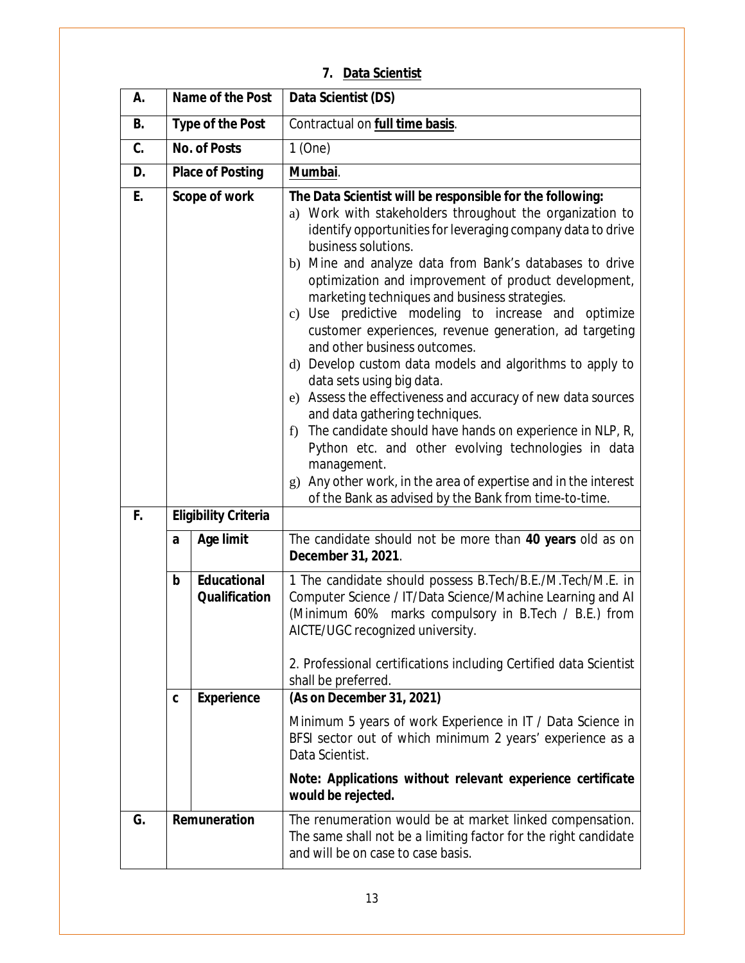| А. | Name of the Post        |                                            | Data Scientist (DS)                                                                                                                                                                                                                                                                                                                                                                                                                                                                                                                                                                                                                                                                                                                                                                                                                                                                                                                                                                                           |
|----|-------------------------|--------------------------------------------|---------------------------------------------------------------------------------------------------------------------------------------------------------------------------------------------------------------------------------------------------------------------------------------------------------------------------------------------------------------------------------------------------------------------------------------------------------------------------------------------------------------------------------------------------------------------------------------------------------------------------------------------------------------------------------------------------------------------------------------------------------------------------------------------------------------------------------------------------------------------------------------------------------------------------------------------------------------------------------------------------------------|
| В. | <b>Type of the Post</b> |                                            | Contractual on full time basis.                                                                                                                                                                                                                                                                                                                                                                                                                                                                                                                                                                                                                                                                                                                                                                                                                                                                                                                                                                               |
| C. | <b>No. of Posts</b>     |                                            | 1(One)                                                                                                                                                                                                                                                                                                                                                                                                                                                                                                                                                                                                                                                                                                                                                                                                                                                                                                                                                                                                        |
| D. | <b>Place of Posting</b> |                                            | Mumbai.                                                                                                                                                                                                                                                                                                                                                                                                                                                                                                                                                                                                                                                                                                                                                                                                                                                                                                                                                                                                       |
| E. | <b>Scope of work</b>    |                                            | The Data Scientist will be responsible for the following:<br>a) Work with stakeholders throughout the organization to<br>identify opportunities for leveraging company data to drive<br>business solutions.<br>b) Mine and analyze data from Bank's databases to drive<br>optimization and improvement of product development,<br>marketing techniques and business strategies.<br>c) Use predictive modeling to increase and optimize<br>customer experiences, revenue generation, ad targeting<br>and other business outcomes.<br>d) Develop custom data models and algorithms to apply to<br>data sets using big data.<br>e) Assess the effectiveness and accuracy of new data sources<br>and data gathering techniques.<br>f) The candidate should have hands on experience in NLP, R,<br>Python etc. and other evolving technologies in data<br>management.<br>Any other work, in the area of expertise and in the interest<br>$\mathfrak{g}$ )<br>of the Bank as advised by the Bank from time-to-time. |
| F. |                         | <b>Eligibility Criteria</b>                |                                                                                                                                                                                                                                                                                                                                                                                                                                                                                                                                                                                                                                                                                                                                                                                                                                                                                                                                                                                                               |
|    | a                       | <b>Age limit</b>                           | The candidate should not be more than 40 years old as on<br>December 31, 2021.                                                                                                                                                                                                                                                                                                                                                                                                                                                                                                                                                                                                                                                                                                                                                                                                                                                                                                                                |
|    | b                       | <b>Educational</b><br><b>Qualification</b> | 1 The candidate should possess B.Tech/B.E./M.Tech/M.E. in<br>Computer Science / IT/Data Science/Machine Learning and AI<br>(Minimum 60% marks compulsory in B.Tech / B.E.) from<br>AICTE/UGC recognized university.<br>2. Professional certifications including Certified data Scientist<br>shall be preferred.                                                                                                                                                                                                                                                                                                                                                                                                                                                                                                                                                                                                                                                                                               |
|    | C                       | <b>Experience</b>                          | (As on December 31, 2021)                                                                                                                                                                                                                                                                                                                                                                                                                                                                                                                                                                                                                                                                                                                                                                                                                                                                                                                                                                                     |
|    |                         |                                            | Minimum 5 years of work Experience in IT / Data Science in<br>BFSI sector out of which minimum 2 years' experience as a<br>Data Scientist.                                                                                                                                                                                                                                                                                                                                                                                                                                                                                                                                                                                                                                                                                                                                                                                                                                                                    |
|    |                         |                                            | Note: Applications without relevant experience certificate<br>would be rejected.                                                                                                                                                                                                                                                                                                                                                                                                                                                                                                                                                                                                                                                                                                                                                                                                                                                                                                                              |
| G. | Remuneration            |                                            | The renumeration would be at market linked compensation.<br>The same shall not be a limiting factor for the right candidate<br>and will be on case to case basis.                                                                                                                                                                                                                                                                                                                                                                                                                                                                                                                                                                                                                                                                                                                                                                                                                                             |

#### **7. Data Scientist**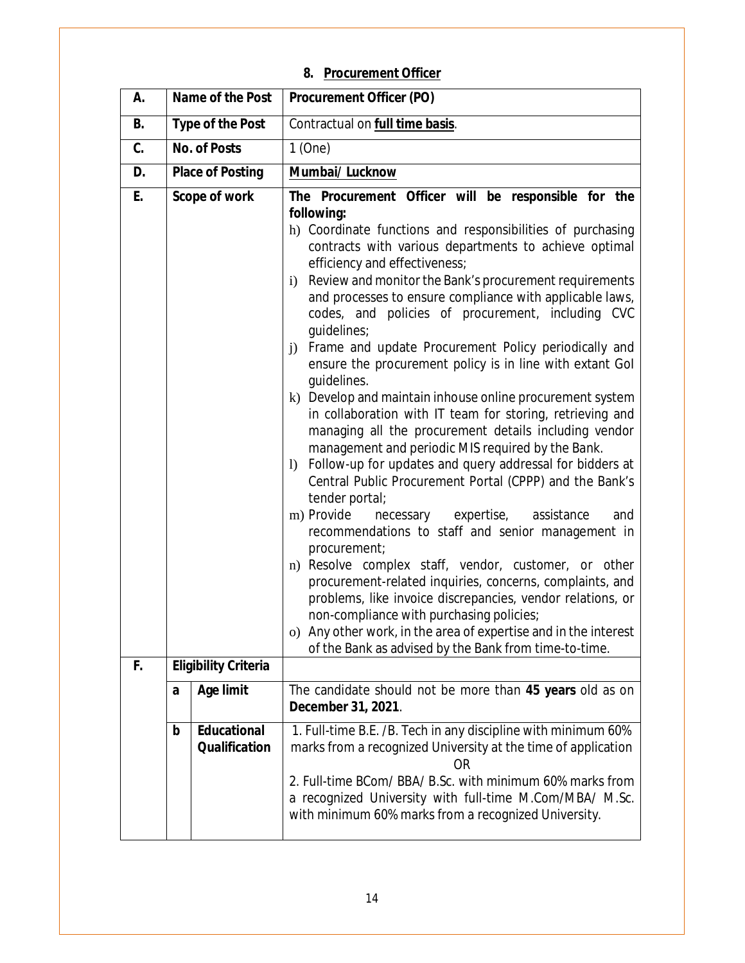## **8. Procurement Officer**

| А. |   | Name of the Post                           | <b>Procurement Officer (PO)</b>                                                                                                                                                                                                                                                                                                                                                                                                                                                                                                                                                                                                                                                                                                                                                                                                                                                                                                                                                                                                                                                                                                                                                                                                                                                                                                                                                                                                                                                      |
|----|---|--------------------------------------------|--------------------------------------------------------------------------------------------------------------------------------------------------------------------------------------------------------------------------------------------------------------------------------------------------------------------------------------------------------------------------------------------------------------------------------------------------------------------------------------------------------------------------------------------------------------------------------------------------------------------------------------------------------------------------------------------------------------------------------------------------------------------------------------------------------------------------------------------------------------------------------------------------------------------------------------------------------------------------------------------------------------------------------------------------------------------------------------------------------------------------------------------------------------------------------------------------------------------------------------------------------------------------------------------------------------------------------------------------------------------------------------------------------------------------------------------------------------------------------------|
| В. |   | <b>Type of the Post</b>                    | Contractual on full time basis.                                                                                                                                                                                                                                                                                                                                                                                                                                                                                                                                                                                                                                                                                                                                                                                                                                                                                                                                                                                                                                                                                                                                                                                                                                                                                                                                                                                                                                                      |
| C. |   | <b>No. of Posts</b>                        | $1$ (One)                                                                                                                                                                                                                                                                                                                                                                                                                                                                                                                                                                                                                                                                                                                                                                                                                                                                                                                                                                                                                                                                                                                                                                                                                                                                                                                                                                                                                                                                            |
| D. |   | <b>Place of Posting</b>                    | Mumbai/ Lucknow                                                                                                                                                                                                                                                                                                                                                                                                                                                                                                                                                                                                                                                                                                                                                                                                                                                                                                                                                                                                                                                                                                                                                                                                                                                                                                                                                                                                                                                                      |
| E. |   | Scope of work                              | The Procurement Officer will be responsible for the<br>following:<br>h) Coordinate functions and responsibilities of purchasing<br>contracts with various departments to achieve optimal<br>efficiency and effectiveness;<br>Review and monitor the Bank's procurement requirements<br>$\ddot{1}$<br>and processes to ensure compliance with applicable laws,<br>codes, and policies of procurement, including CVC<br>guidelines;<br>Frame and update Procurement Policy periodically and<br>$\ddot{1}$<br>ensure the procurement policy is in line with extant Gol<br>quidelines.<br>k) Develop and maintain inhouse online procurement system<br>in collaboration with IT team for storing, retrieving and<br>managing all the procurement details including vendor<br>management and periodic MIS required by the Bank.<br>Follow-up for updates and query addressal for bidders at<br>$\left  \right\rangle$<br>Central Public Procurement Portal (CPPP) and the Bank's<br>tender portal;<br>m) Provide<br>necessary expertise, assistance<br>and<br>recommendations to staff and senior management in<br>procurement;<br>n) Resolve complex staff, vendor, customer, or other<br>procurement-related inquiries, concerns, complaints, and<br>problems, like invoice discrepancies, vendor relations, or<br>non-compliance with purchasing policies;<br>o) Any other work, in the area of expertise and in the interest<br>of the Bank as advised by the Bank from time-to-time. |
| F. |   | <b>Eligibility Criteria</b>                |                                                                                                                                                                                                                                                                                                                                                                                                                                                                                                                                                                                                                                                                                                                                                                                                                                                                                                                                                                                                                                                                                                                                                                                                                                                                                                                                                                                                                                                                                      |
|    | a | Age limit                                  | The candidate should not be more than 45 years old as on<br>December 31, 2021.                                                                                                                                                                                                                                                                                                                                                                                                                                                                                                                                                                                                                                                                                                                                                                                                                                                                                                                                                                                                                                                                                                                                                                                                                                                                                                                                                                                                       |
|    | b | <b>Educational</b><br><b>Qualification</b> | 1. Full-time B.E. /B. Tech in any discipline with minimum 60%<br>marks from a recognized University at the time of application<br><b>OR</b><br>2. Full-time BCom/ BBA/ B.Sc. with minimum 60% marks from<br>a recognized University with full-time M.Com/MBA/ M.Sc.<br>with minimum 60% marks from a recognized University.                                                                                                                                                                                                                                                                                                                                                                                                                                                                                                                                                                                                                                                                                                                                                                                                                                                                                                                                                                                                                                                                                                                                                          |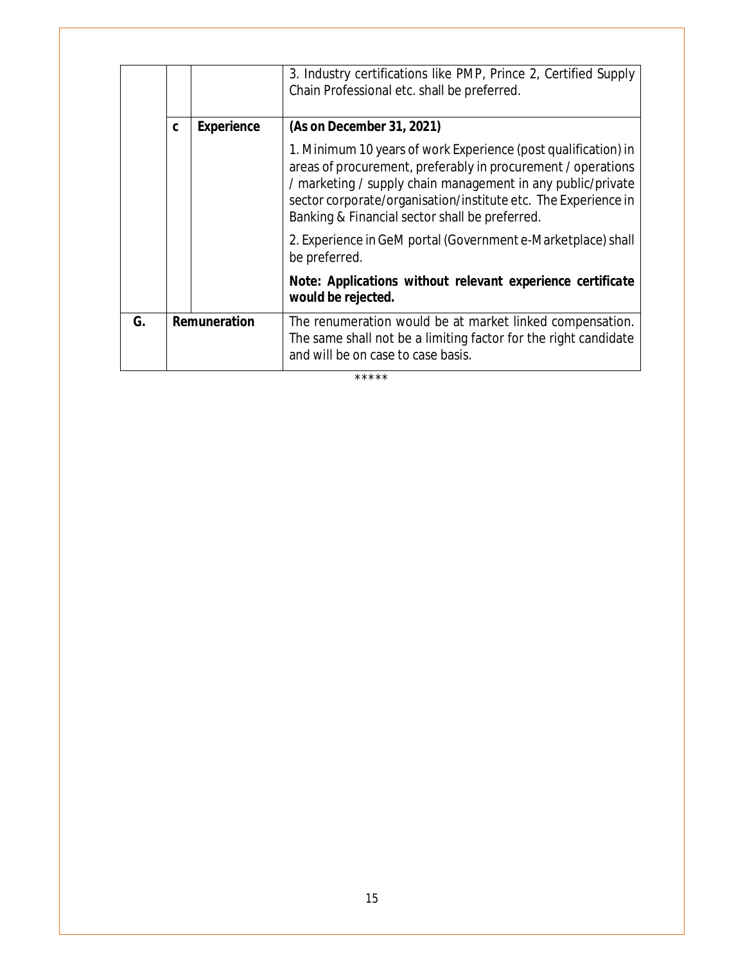|    |    |                   | 3. Industry certifications like PMP, Prince 2, Certified Supply<br>Chain Professional etc. shall be preferred.                                                                                                                                                                                                    |
|----|----|-------------------|-------------------------------------------------------------------------------------------------------------------------------------------------------------------------------------------------------------------------------------------------------------------------------------------------------------------|
|    | C. | <b>Experience</b> | (As on December 31, 2021)                                                                                                                                                                                                                                                                                         |
|    |    |                   | 1. Minimum 10 years of work Experience (post qualification) in<br>areas of procurement, preferably in procurement / operations<br>/ marketing / supply chain management in any public/private<br>sector corporate/organisation/institute etc. The Experience in<br>Banking & Financial sector shall be preferred. |
|    |    |                   | 2. Experience in GeM portal (Government e-Marketplace) shall<br>be preferred.                                                                                                                                                                                                                                     |
|    |    |                   | Note: Applications without relevant experience certificate<br>would be rejected.                                                                                                                                                                                                                                  |
| G. |    | Remuneration      | The renumeration would be at market linked compensation.<br>The same shall not be a limiting factor for the right candidate<br>and will be on case to case basis.                                                                                                                                                 |
|    |    |                   | *****                                                                                                                                                                                                                                                                                                             |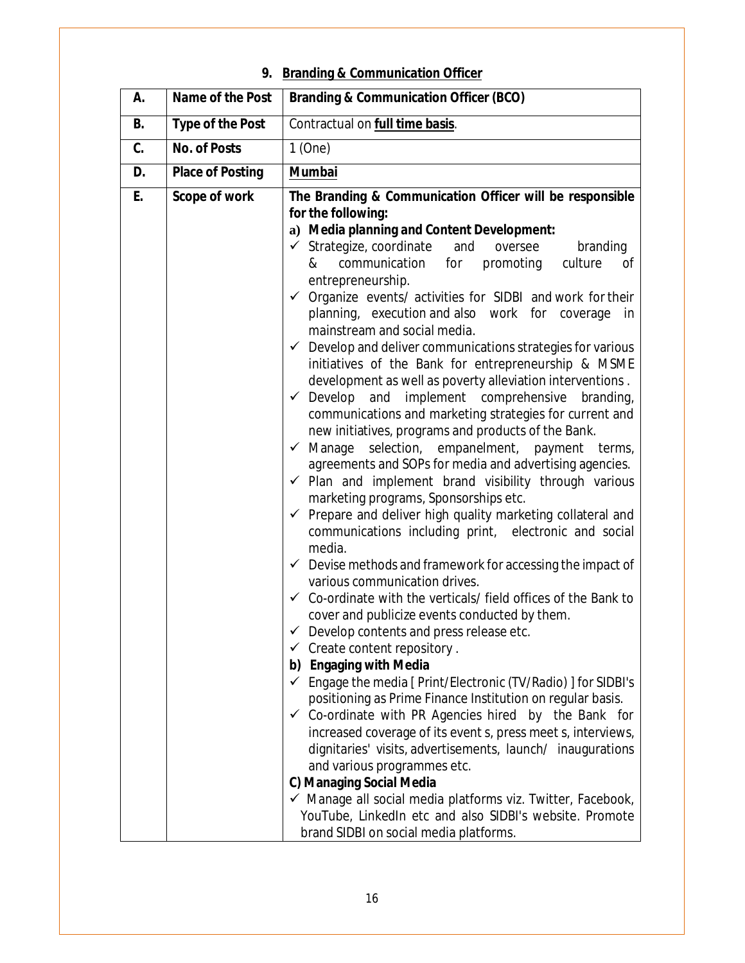# **9. Branding & Communication Officer**

| А.        | Name of the Post        | <b>Branding &amp; Communication Officer (BCO)</b>                                                                                                                                                                                                                                                                                                                                                                                                                                                                                                                                                                                                                                                                                                                                                                                                                                                                                                                                                                                                                                                                                                                                                                                                                                                                                                                                                                                                                                                                                                                                                                                                                                                                                                                                                                                                                                                                                                                                                                                                                                                                                                           |
|-----------|-------------------------|-------------------------------------------------------------------------------------------------------------------------------------------------------------------------------------------------------------------------------------------------------------------------------------------------------------------------------------------------------------------------------------------------------------------------------------------------------------------------------------------------------------------------------------------------------------------------------------------------------------------------------------------------------------------------------------------------------------------------------------------------------------------------------------------------------------------------------------------------------------------------------------------------------------------------------------------------------------------------------------------------------------------------------------------------------------------------------------------------------------------------------------------------------------------------------------------------------------------------------------------------------------------------------------------------------------------------------------------------------------------------------------------------------------------------------------------------------------------------------------------------------------------------------------------------------------------------------------------------------------------------------------------------------------------------------------------------------------------------------------------------------------------------------------------------------------------------------------------------------------------------------------------------------------------------------------------------------------------------------------------------------------------------------------------------------------------------------------------------------------------------------------------------------------|
| <b>B.</b> | <b>Type of the Post</b> | Contractual on <b>full time basis</b> .                                                                                                                                                                                                                                                                                                                                                                                                                                                                                                                                                                                                                                                                                                                                                                                                                                                                                                                                                                                                                                                                                                                                                                                                                                                                                                                                                                                                                                                                                                                                                                                                                                                                                                                                                                                                                                                                                                                                                                                                                                                                                                                     |
| C.        | <b>No. of Posts</b>     | $1$ (One)                                                                                                                                                                                                                                                                                                                                                                                                                                                                                                                                                                                                                                                                                                                                                                                                                                                                                                                                                                                                                                                                                                                                                                                                                                                                                                                                                                                                                                                                                                                                                                                                                                                                                                                                                                                                                                                                                                                                                                                                                                                                                                                                                   |
| D.        | <b>Place of Posting</b> | <b>Mumbai</b>                                                                                                                                                                                                                                                                                                                                                                                                                                                                                                                                                                                                                                                                                                                                                                                                                                                                                                                                                                                                                                                                                                                                                                                                                                                                                                                                                                                                                                                                                                                                                                                                                                                                                                                                                                                                                                                                                                                                                                                                                                                                                                                                               |
| E.        | Scope of work           | The Branding & Communication Officer will be responsible<br>for the following:<br>a) Media planning and Content Development:<br>$\checkmark$ Strategize, coordinate<br>and<br>branding<br>oversee<br>communication<br>for<br>promoting<br>culture<br>&<br>Οf<br>entrepreneurship.<br>$\checkmark$ Organize events/ activities for SIDBI and work for their<br>planning, execution and also work for coverage<br>in<br>mainstream and social media.<br>$\checkmark$ Develop and deliver communications strategies for various<br>initiatives of the Bank for entrepreneurship & MSME<br>development as well as poverty alleviation interventions.<br>$\checkmark$ Develop and implement comprehensive<br>branding,<br>communications and marketing strategies for current and<br>new initiatives, programs and products of the Bank.<br>$\checkmark$ Manage selection, empanelment, payment terms,<br>agreements and SOPs for media and advertising agencies.<br>$\checkmark$ Plan and implement brand visibility through various<br>marketing programs, Sponsorships etc.<br>$\checkmark$ Prepare and deliver high quality marketing collateral and<br>communications including print, electronic and social<br>media.<br>$\checkmark$ Devise methods and framework for accessing the impact of<br>various communication drives.<br>$\checkmark$ Co-ordinate with the verticals/ field offices of the Bank to<br>cover and publicize events conducted by them.<br>$\checkmark$ Develop contents and press release etc.<br>$\checkmark$ Create content repository.<br>b) Engaging with Media<br>← Engage the media [ Print/Electronic (TV/Radio) ] for SIDBI's<br>positioning as Prime Finance Institution on regular basis.<br>$\checkmark$ Co-ordinate with PR Agencies hired by the Bank for<br>increased coverage of its event s, press meet s, interviews,<br>dignitaries' visits, advertisements, launch/ inaugurations<br>and various programmes etc.<br>C) Managing Social Media<br>√ Manage all social media platforms viz. Twitter, Facebook,<br>YouTube, LinkedIn etc and also SIDBI's website. Promote<br>brand SIDBI on social media platforms. |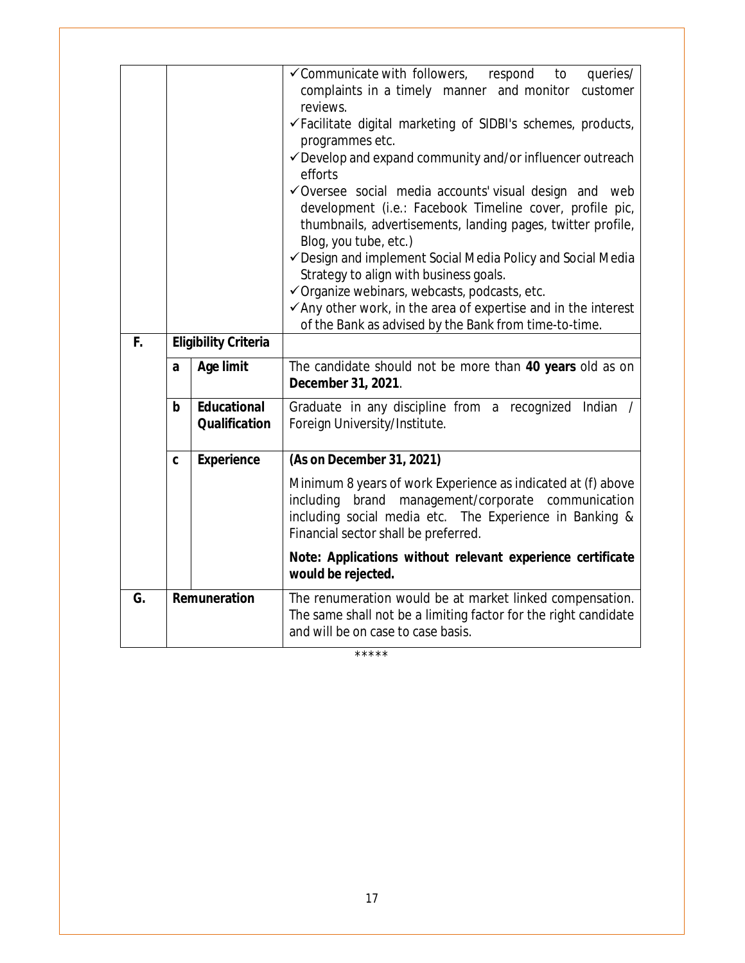|    |                     |                                            | ✓ Communicate with followers,<br>queries/<br>respond<br>to<br>complaints in a timely manner and monitor<br>customer<br>reviews.                                                                                       |
|----|---------------------|--------------------------------------------|-----------------------------------------------------------------------------------------------------------------------------------------------------------------------------------------------------------------------|
|    |                     |                                            | √Facilitate digital marketing of SIDBI's schemes, products,<br>programmes etc.                                                                                                                                        |
|    |                     |                                            | ✔ Develop and expand community and/or influencer outreach<br>efforts                                                                                                                                                  |
|    |                     |                                            | √Oversee social media accounts' visual design and web<br>development (i.e.: Facebook Timeline cover, profile pic,<br>thumbnails, advertisements, landing pages, twitter profile,<br>Blog, you tube, etc.)             |
|    |                     |                                            | ✓ Design and implement Social Media Policy and Social Media<br>Strategy to align with business goals.                                                                                                                 |
|    |                     |                                            | √ Organize webinars, webcasts, podcasts, etc.<br>$\checkmark$ Any other work, in the area of expertise and in the interest                                                                                            |
|    |                     |                                            | of the Bank as advised by the Bank from time-to-time.                                                                                                                                                                 |
| F. |                     | <b>Eligibility Criteria</b>                |                                                                                                                                                                                                                       |
|    | a                   | <b>Age limit</b>                           | The candidate should not be more than 40 years old as on<br>December 31, 2021.                                                                                                                                        |
|    | $\mathbf b$         | <b>Educational</b><br><b>Qualification</b> | Graduate in any discipline from a recognized Indian /<br>Foreign University/Institute.                                                                                                                                |
|    | C                   | <b>Experience</b>                          | (As on December 31, 2021)                                                                                                                                                                                             |
|    |                     |                                            | Minimum 8 years of work Experience as indicated at (f) above<br>including brand management/corporate communication<br>including social media etc. The Experience in Banking &<br>Financial sector shall be preferred. |
|    |                     |                                            | Note: Applications without relevant experience certificate<br>would be rejected.                                                                                                                                      |
| G. | <b>Remuneration</b> |                                            | The renumeration would be at market linked compensation.<br>The same shall not be a limiting factor for the right candidate<br>and will be on case to case basis.                                                     |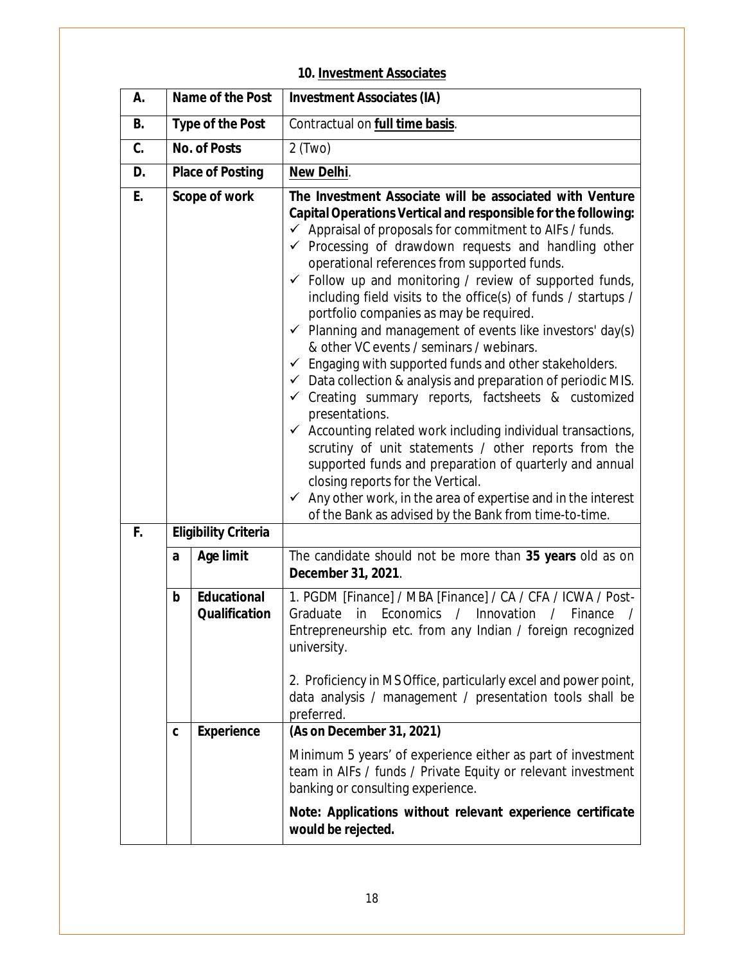## **10. Investment Associates**

| А.       | Name of the Post        |                                            | <b>Investment Associates (IA)</b>                                                                                                                                                                                                                                                                                                                                                                                                                                                                                                                                                                                                                                                                                                                                                                                                                                                                                                                                                                                                                                                                                                                                                                                                             |
|----------|-------------------------|--------------------------------------------|-----------------------------------------------------------------------------------------------------------------------------------------------------------------------------------------------------------------------------------------------------------------------------------------------------------------------------------------------------------------------------------------------------------------------------------------------------------------------------------------------------------------------------------------------------------------------------------------------------------------------------------------------------------------------------------------------------------------------------------------------------------------------------------------------------------------------------------------------------------------------------------------------------------------------------------------------------------------------------------------------------------------------------------------------------------------------------------------------------------------------------------------------------------------------------------------------------------------------------------------------|
| B.       | <b>Type of the Post</b> |                                            | Contractual on <b>full time basis</b> .                                                                                                                                                                                                                                                                                                                                                                                                                                                                                                                                                                                                                                                                                                                                                                                                                                                                                                                                                                                                                                                                                                                                                                                                       |
| C.       | <b>No. of Posts</b>     |                                            | $2$ (Two)                                                                                                                                                                                                                                                                                                                                                                                                                                                                                                                                                                                                                                                                                                                                                                                                                                                                                                                                                                                                                                                                                                                                                                                                                                     |
| D.       | <b>Place of Posting</b> |                                            | New Delhi.                                                                                                                                                                                                                                                                                                                                                                                                                                                                                                                                                                                                                                                                                                                                                                                                                                                                                                                                                                                                                                                                                                                                                                                                                                    |
| E.<br>F. | Scope of work           |                                            | The Investment Associate will be associated with Venture<br>Capital Operations Vertical and responsible for the following:<br>$\checkmark$ Appraisal of proposals for commitment to AIFs / funds.<br>$\checkmark$ Processing of drawdown requests and handling other<br>operational references from supported funds.<br>$\checkmark$ Follow up and monitoring / review of supported funds,<br>including field visits to the office(s) of funds / startups /<br>portfolio companies as may be required.<br>$\checkmark$ Planning and management of events like investors' day(s)<br>& other VC events / seminars / webinars.<br>$\checkmark$ Engaging with supported funds and other stakeholders.<br>$\checkmark$ Data collection & analysis and preparation of periodic MIS.<br>$\checkmark$ Creating summary reports, factsheets & customized<br>presentations.<br>Accounting related work including individual transactions,<br>$\checkmark$<br>scrutiny of unit statements / other reports from the<br>supported funds and preparation of quarterly and annual<br>closing reports for the Vertical.<br>$\checkmark$ Any other work, in the area of expertise and in the interest<br>of the Bank as advised by the Bank from time-to-time. |
|          | a                       | <b>Age limit</b>                           | The candidate should not be more than 35 years old as on<br>December 31, 2021.                                                                                                                                                                                                                                                                                                                                                                                                                                                                                                                                                                                                                                                                                                                                                                                                                                                                                                                                                                                                                                                                                                                                                                |
|          | b                       | <b>Educational</b><br><b>Qualification</b> | 1. PGDM [Finance] / MBA [Finance] / CA / CFA / ICWA / Post-<br>Economics<br>Innovation<br>Graduate<br>in<br>$\sqrt{2}$<br>Finance<br>$\prime$<br>Entrepreneurship etc. from any Indian / foreign recognized<br>university.<br>2. Proficiency in MS Office, particularly excel and power point,<br>data analysis / management / presentation tools shall be<br>preferred.                                                                                                                                                                                                                                                                                                                                                                                                                                                                                                                                                                                                                                                                                                                                                                                                                                                                      |
|          | C                       | <b>Experience</b>                          | (As on December 31, 2021)                                                                                                                                                                                                                                                                                                                                                                                                                                                                                                                                                                                                                                                                                                                                                                                                                                                                                                                                                                                                                                                                                                                                                                                                                     |
|          |                         |                                            | Minimum 5 years' of experience either as part of investment<br>team in AIFs / funds / Private Equity or relevant investment<br>banking or consulting experience.                                                                                                                                                                                                                                                                                                                                                                                                                                                                                                                                                                                                                                                                                                                                                                                                                                                                                                                                                                                                                                                                              |
|          |                         |                                            | Note: Applications without relevant experience certificate<br>would be rejected.                                                                                                                                                                                                                                                                                                                                                                                                                                                                                                                                                                                                                                                                                                                                                                                                                                                                                                                                                                                                                                                                                                                                                              |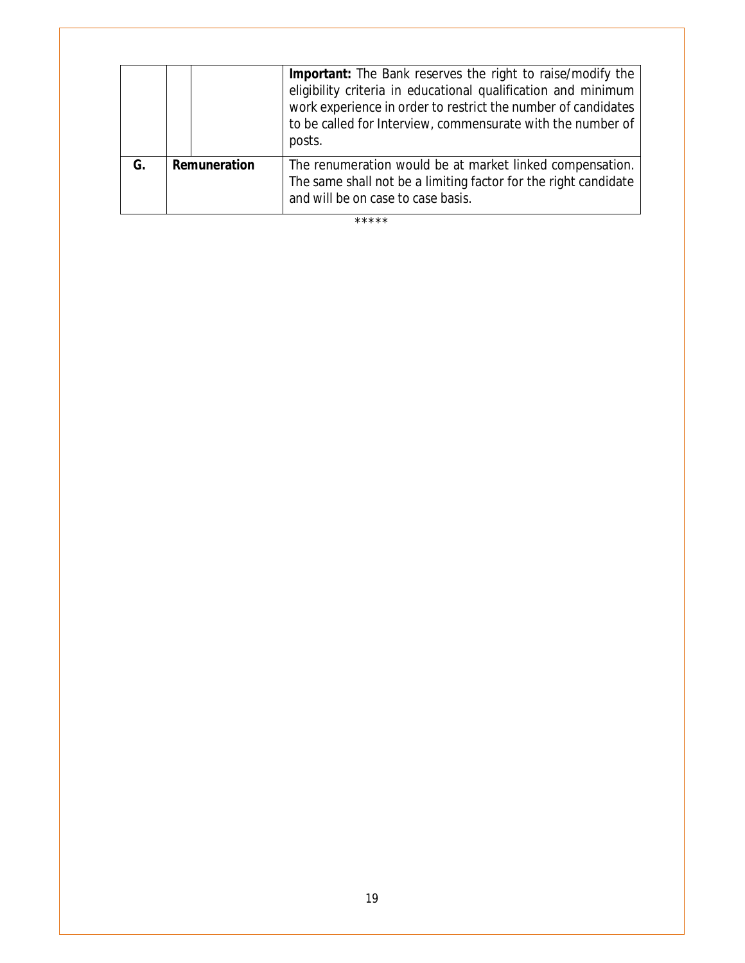|    |                     | <b>Important:</b> The Bank reserves the right to raise/modify the<br>eligibility criteria in educational qualification and minimum<br>work experience in order to restrict the number of candidates<br>to be called for Interview, commensurate with the number of<br>posts. |
|----|---------------------|------------------------------------------------------------------------------------------------------------------------------------------------------------------------------------------------------------------------------------------------------------------------------|
| G. | <b>Remuneration</b> | The renumeration would be at market linked compensation.<br>The same shall not be a limiting factor for the right candidate<br>and will be on case to case basis.                                                                                                            |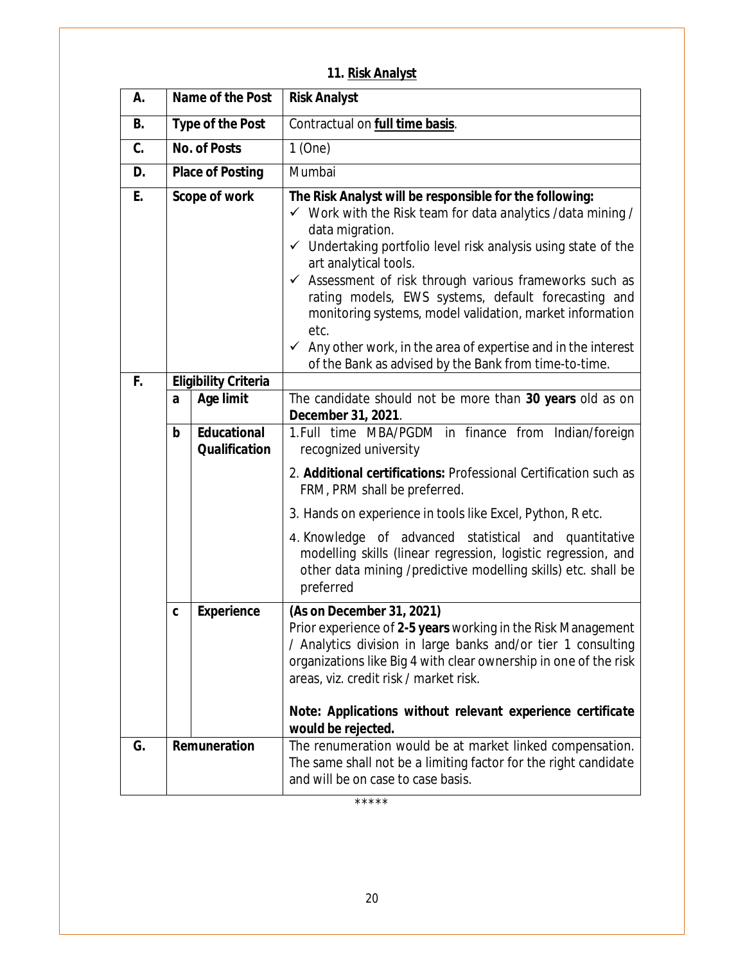| 11. Risk Analyst |  |
|------------------|--|
|                  |  |

| А.        |                         | Name of the Post                           | <b>Risk Analyst</b>                                                                                                                                                                                                                                                                                                                                                                                                                                                                                                                                                                                |
|-----------|-------------------------|--------------------------------------------|----------------------------------------------------------------------------------------------------------------------------------------------------------------------------------------------------------------------------------------------------------------------------------------------------------------------------------------------------------------------------------------------------------------------------------------------------------------------------------------------------------------------------------------------------------------------------------------------------|
| <b>B.</b> |                         | <b>Type of the Post</b>                    | Contractual on full time basis.                                                                                                                                                                                                                                                                                                                                                                                                                                                                                                                                                                    |
| C.        | <b>No. of Posts</b>     |                                            | $1$ (One)                                                                                                                                                                                                                                                                                                                                                                                                                                                                                                                                                                                          |
| D.        | <b>Place of Posting</b> |                                            | Mumbai                                                                                                                                                                                                                                                                                                                                                                                                                                                                                                                                                                                             |
| E.        | Scope of work           |                                            | The Risk Analyst will be responsible for the following:<br>$\checkmark$ Work with the Risk team for data analytics / data mining /<br>data migration.<br>$\checkmark$ Undertaking portfolio level risk analysis using state of the<br>art analytical tools.<br>$\checkmark$ Assessment of risk through various frameworks such as<br>rating models, EWS systems, default forecasting and<br>monitoring systems, model validation, market information<br>etc.<br>$\checkmark$ Any other work, in the area of expertise and in the interest<br>of the Bank as advised by the Bank from time-to-time. |
| F.        |                         | <b>Eligibility Criteria</b>                |                                                                                                                                                                                                                                                                                                                                                                                                                                                                                                                                                                                                    |
|           | a                       | Age limit                                  | The candidate should not be more than 30 years old as on<br>December 31, 2021.                                                                                                                                                                                                                                                                                                                                                                                                                                                                                                                     |
|           | $\mathbf b$             | <b>Educational</b><br><b>Qualification</b> | 1. Full time MBA/PGDM in finance from Indian/foreign<br>recognized university                                                                                                                                                                                                                                                                                                                                                                                                                                                                                                                      |
|           |                         |                                            | 2. Additional certifications: Professional Certification such as<br>FRM, PRM shall be preferred.                                                                                                                                                                                                                                                                                                                                                                                                                                                                                                   |
|           |                         |                                            | 3. Hands on experience in tools like Excel, Python, R etc.                                                                                                                                                                                                                                                                                                                                                                                                                                                                                                                                         |
|           |                         |                                            | 4. Knowledge of advanced statistical and quantitative<br>modelling skills (linear regression, logistic regression, and<br>other data mining /predictive modelling skills) etc. shall be<br>preferred                                                                                                                                                                                                                                                                                                                                                                                               |
|           | C                       | <b>Experience</b>                          | (As on December 31, 2021)<br>Prior experience of 2-5 years working in the Risk Management<br>/ Analytics division in large banks and/or tier 1 consulting<br>organizations like Big 4 with clear ownership in one of the risk<br>areas, viz. credit risk / market risk.<br>Note: Applications without relevant experience certificate                                                                                                                                                                                                                                                              |
|           |                         |                                            | would be rejected.                                                                                                                                                                                                                                                                                                                                                                                                                                                                                                                                                                                 |
| G.        | Remuneration            |                                            | The renumeration would be at market linked compensation.<br>The same shall not be a limiting factor for the right candidate<br>and will be on case to case basis.                                                                                                                                                                                                                                                                                                                                                                                                                                  |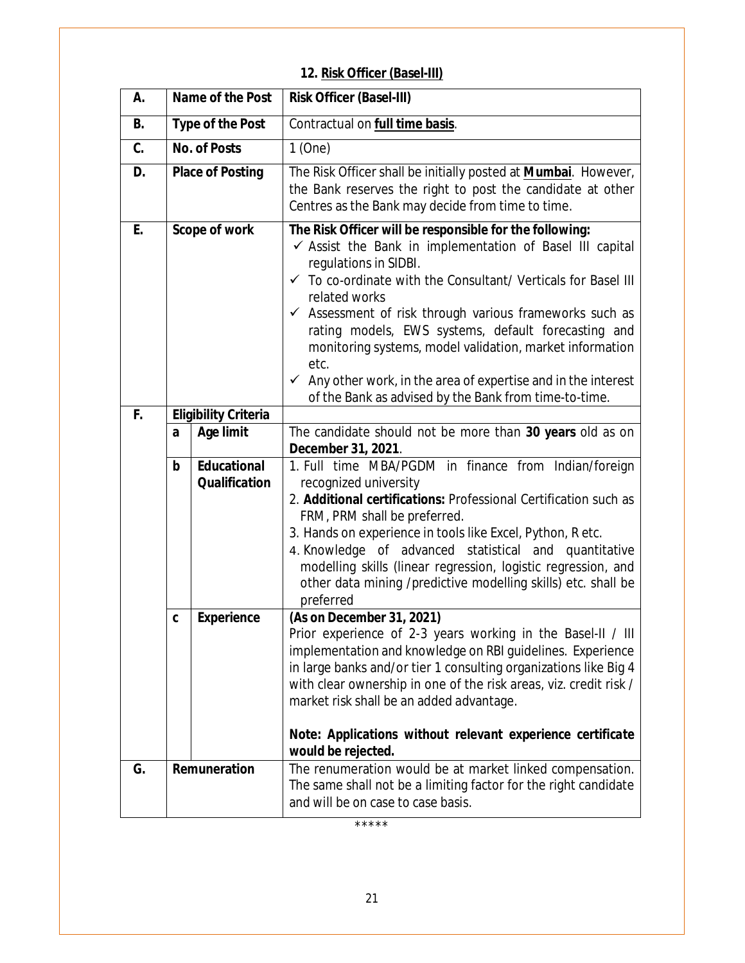## **12. Risk Officer (Basel-III)**

| А.        | Name of the Post        |                                            | <b>Risk Officer (Basel-III)</b>                                                                                                                                                                                                                                                                                                                                                                                                                                                                                                                                                  |
|-----------|-------------------------|--------------------------------------------|----------------------------------------------------------------------------------------------------------------------------------------------------------------------------------------------------------------------------------------------------------------------------------------------------------------------------------------------------------------------------------------------------------------------------------------------------------------------------------------------------------------------------------------------------------------------------------|
| <b>B.</b> | <b>Type of the Post</b> |                                            | Contractual on full time basis.                                                                                                                                                                                                                                                                                                                                                                                                                                                                                                                                                  |
| C.        | <b>No. of Posts</b>     |                                            | $1$ (One)                                                                                                                                                                                                                                                                                                                                                                                                                                                                                                                                                                        |
| D.        | <b>Place of Posting</b> |                                            | The Risk Officer shall be initially posted at <b>Mumbai</b> . However,<br>the Bank reserves the right to post the candidate at other<br>Centres as the Bank may decide from time to time.                                                                                                                                                                                                                                                                                                                                                                                        |
| E.        |                         | Scope of work                              | The Risk Officer will be responsible for the following:<br>$\checkmark$ Assist the Bank in implementation of Basel III capital<br>regulations in SIDBI.<br>✓ To co-ordinate with the Consultant/ Verticals for Basel III<br>related works<br>$\checkmark$ Assessment of risk through various frameworks such as<br>rating models, EWS systems, default forecasting and<br>monitoring systems, model validation, market information<br>etc.<br>$\checkmark$ Any other work, in the area of expertise and in the interest<br>of the Bank as advised by the Bank from time-to-time. |
| F.        |                         | <b>Eligibility Criteria</b>                |                                                                                                                                                                                                                                                                                                                                                                                                                                                                                                                                                                                  |
|           | a                       | <b>Age limit</b>                           | The candidate should not be more than 30 years old as on<br>December 31, 2021.                                                                                                                                                                                                                                                                                                                                                                                                                                                                                                   |
|           | b                       | <b>Educational</b><br><b>Qualification</b> | 1. Full time MBA/PGDM in finance from Indian/foreign<br>recognized university<br>2. Additional certifications: Professional Certification such as<br>FRM, PRM shall be preferred.<br>3. Hands on experience in tools like Excel, Python, R etc.<br>4. Knowledge of advanced statistical and quantitative<br>modelling skills (linear regression, logistic regression, and<br>other data mining /predictive modelling skills) etc. shall be<br>preferred                                                                                                                          |
|           | C                       | <b>Experience</b>                          | (As on December 31, 2021)<br>Prior experience of 2-3 years working in the Basel-II / III<br>implementation and knowledge on RBI guidelines. Experience<br>in large banks and/or tier 1 consulting organizations like Big 4<br>with clear ownership in one of the risk areas, viz. credit risk /<br>market risk shall be an added advantage.<br>Note: Applications without relevant experience certificate<br>would be rejected.                                                                                                                                                  |
| G.        | Remuneration            |                                            | The renumeration would be at market linked compensation.<br>The same shall not be a limiting factor for the right candidate<br>and will be on case to case basis.                                                                                                                                                                                                                                                                                                                                                                                                                |

\*\*\*\*\*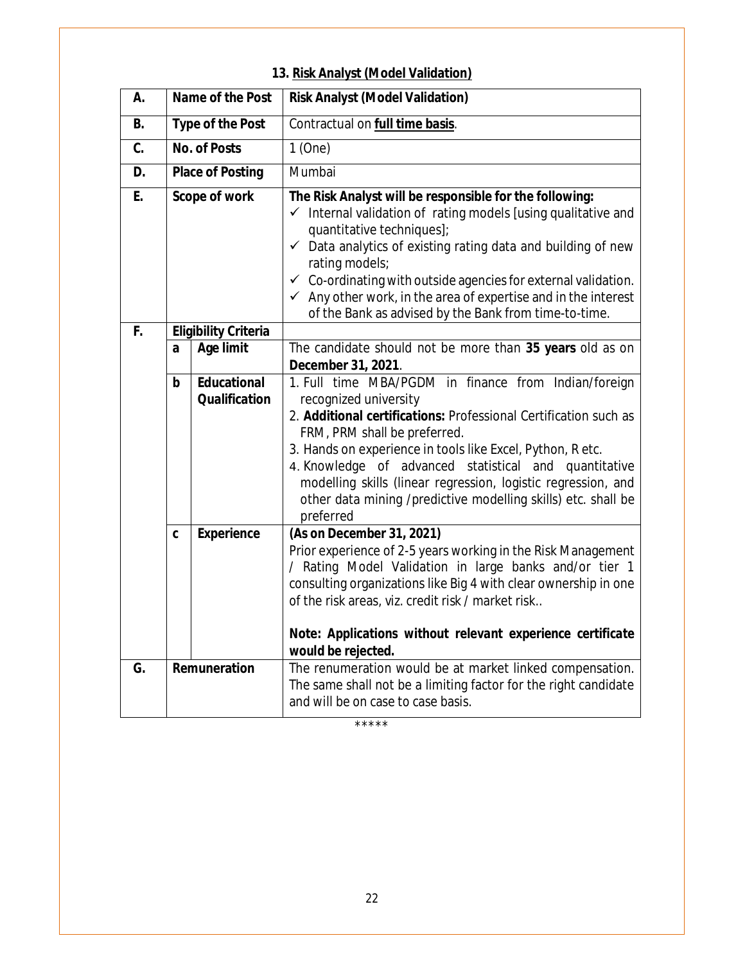| Α.        | <b>Name of the Post</b> |                                     | <b>Risk Analyst (Model Validation)</b>                                                                                                                                                                                                                                                                                                                                                                                                                                           |
|-----------|-------------------------|-------------------------------------|----------------------------------------------------------------------------------------------------------------------------------------------------------------------------------------------------------------------------------------------------------------------------------------------------------------------------------------------------------------------------------------------------------------------------------------------------------------------------------|
| <b>B.</b> |                         | <b>Type of the Post</b>             | Contractual on full time basis.                                                                                                                                                                                                                                                                                                                                                                                                                                                  |
| C.        | <b>No. of Posts</b>     |                                     | 1(One)                                                                                                                                                                                                                                                                                                                                                                                                                                                                           |
| D.        |                         | <b>Place of Posting</b>             | Mumbai                                                                                                                                                                                                                                                                                                                                                                                                                                                                           |
| E.        | Scope of work           |                                     | The Risk Analyst will be responsible for the following:<br>$\checkmark$ Internal validation of rating models [using qualitative and<br>quantitative techniques];<br>$\checkmark$ Data analytics of existing rating data and building of new<br>rating models;<br>$\checkmark$ Co-ordinating with outside agencies for external validation.<br>$\checkmark$ Any other work, in the area of expertise and in the interest<br>of the Bank as advised by the Bank from time-to-time. |
| F.        |                         | <b>Eligibility Criteria</b>         |                                                                                                                                                                                                                                                                                                                                                                                                                                                                                  |
|           | a                       | <b>Age limit</b>                    | The candidate should not be more than 35 years old as on<br>December 31, 2021.                                                                                                                                                                                                                                                                                                                                                                                                   |
|           | b                       | Educational<br><b>Qualification</b> | 1. Full time MBA/PGDM in finance from Indian/foreign<br>recognized university<br>2. Additional certifications: Professional Certification such as<br>FRM, PRM shall be preferred.<br>3. Hands on experience in tools like Excel, Python, R etc.<br>4. Knowledge of advanced statistical and quantitative<br>modelling skills (linear regression, logistic regression, and<br>other data mining /predictive modelling skills) etc. shall be<br>preferred                          |
|           | C                       | <b>Experience</b>                   | (As on December 31, 2021)<br>Prior experience of 2-5 years working in the Risk Management<br>/ Rating Model Validation in large banks and/or tier 1<br>consulting organizations like Big 4 with clear ownership in one<br>of the risk areas, viz. credit risk / market risk<br>Note: Applications without relevant experience certificate                                                                                                                                        |
|           |                         |                                     | would be rejected.                                                                                                                                                                                                                                                                                                                                                                                                                                                               |
| G.        | Remuneration            |                                     | The renumeration would be at market linked compensation.<br>The same shall not be a limiting factor for the right candidate<br>and will be on case to case basis.                                                                                                                                                                                                                                                                                                                |

## **13. Risk Analyst (Model Validation)**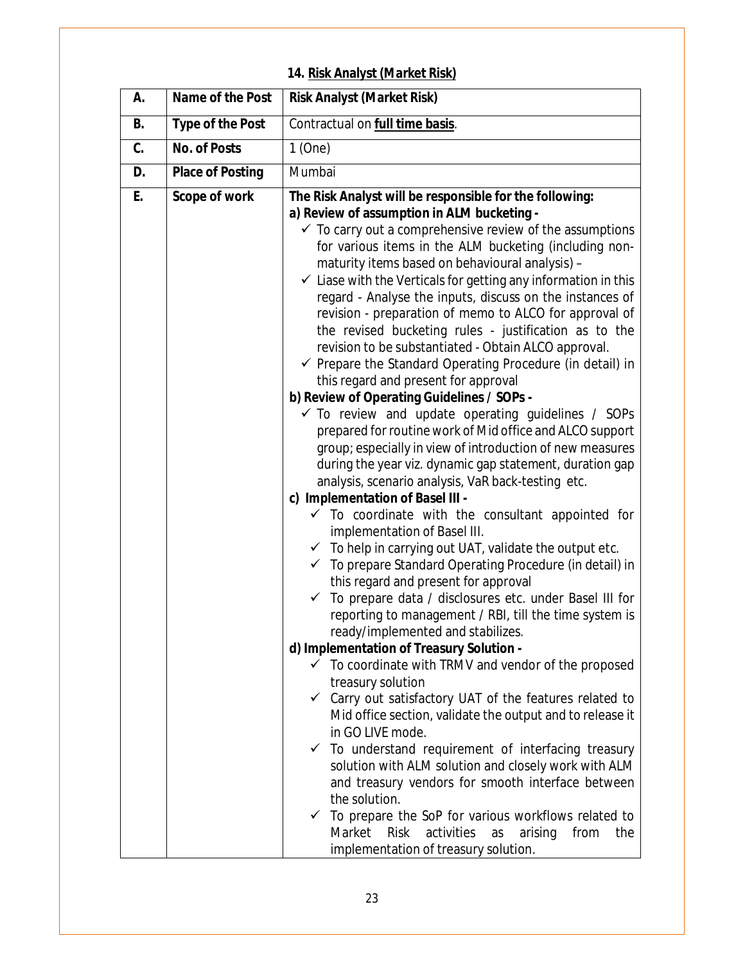## **14. Risk Analyst (Market Risk)**

| А. | Name of the Post        | <b>Risk Analyst (Market Risk)</b>                                                                                                                                                                                                                                                                                                                                                                                                                                                                                                                                                                                                                                                                                                                                                                                                                                                                                                                                                                                                                                                                                                                                                                                                                                                                                                                                                                                                                                                                                                                                                                                                                                                                                                                                                                                                                                                                                                                                                                                                                                                                                                                                                                                                                             |
|----|-------------------------|---------------------------------------------------------------------------------------------------------------------------------------------------------------------------------------------------------------------------------------------------------------------------------------------------------------------------------------------------------------------------------------------------------------------------------------------------------------------------------------------------------------------------------------------------------------------------------------------------------------------------------------------------------------------------------------------------------------------------------------------------------------------------------------------------------------------------------------------------------------------------------------------------------------------------------------------------------------------------------------------------------------------------------------------------------------------------------------------------------------------------------------------------------------------------------------------------------------------------------------------------------------------------------------------------------------------------------------------------------------------------------------------------------------------------------------------------------------------------------------------------------------------------------------------------------------------------------------------------------------------------------------------------------------------------------------------------------------------------------------------------------------------------------------------------------------------------------------------------------------------------------------------------------------------------------------------------------------------------------------------------------------------------------------------------------------------------------------------------------------------------------------------------------------------------------------------------------------------------------------------------------------|
| B. | <b>Type of the Post</b> | Contractual on <b>full time basis</b> .                                                                                                                                                                                                                                                                                                                                                                                                                                                                                                                                                                                                                                                                                                                                                                                                                                                                                                                                                                                                                                                                                                                                                                                                                                                                                                                                                                                                                                                                                                                                                                                                                                                                                                                                                                                                                                                                                                                                                                                                                                                                                                                                                                                                                       |
| C. | <b>No. of Posts</b>     | $1$ (One)                                                                                                                                                                                                                                                                                                                                                                                                                                                                                                                                                                                                                                                                                                                                                                                                                                                                                                                                                                                                                                                                                                                                                                                                                                                                                                                                                                                                                                                                                                                                                                                                                                                                                                                                                                                                                                                                                                                                                                                                                                                                                                                                                                                                                                                     |
| D. | <b>Place of Posting</b> | Mumbai                                                                                                                                                                                                                                                                                                                                                                                                                                                                                                                                                                                                                                                                                                                                                                                                                                                                                                                                                                                                                                                                                                                                                                                                                                                                                                                                                                                                                                                                                                                                                                                                                                                                                                                                                                                                                                                                                                                                                                                                                                                                                                                                                                                                                                                        |
| E. | Scope of work           | The Risk Analyst will be responsible for the following:<br>a) Review of assumption in ALM bucketing -<br>$\checkmark$ To carry out a comprehensive review of the assumptions<br>for various items in the ALM bucketing (including non-<br>maturity items based on behavioural analysis) -<br>$\checkmark$ Liase with the Verticals for getting any information in this<br>regard - Analyse the inputs, discuss on the instances of<br>revision - preparation of memo to ALCO for approval of<br>the revised bucketing rules - justification as to the<br>revision to be substantiated - Obtain ALCO approval.<br>$\checkmark$ Prepare the Standard Operating Procedure (in detail) in<br>this regard and present for approval<br>b) Review of Operating Guidelines / SOPs -<br>$\checkmark$ To review and update operating guidelines / SOPs<br>prepared for routine work of Mid office and ALCO support<br>group; especially in view of introduction of new measures<br>during the year viz. dynamic gap statement, duration gap<br>analysis, scenario analysis, VaR back-testing etc.<br>c) Implementation of Basel III -<br>$\checkmark$ To coordinate with the consultant appointed for<br>implementation of Basel III.<br>$\checkmark$ To help in carrying out UAT, validate the output etc.<br>$\checkmark$ To prepare Standard Operating Procedure (in detail) in<br>this regard and present for approval<br>To prepare data / disclosures etc. under Basel III for<br>$\checkmark$<br>reporting to management / RBI, till the time system is<br>ready/implemented and stabilizes.<br>d) Implementation of Treasury Solution -<br>$\checkmark$ To coordinate with TRMV and vendor of the proposed<br>treasury solution<br>$\checkmark$ Carry out satisfactory UAT of the features related to<br>Mid office section, validate the output and to release it<br>in GO LIVE mode.<br>$\checkmark$ To understand requirement of interfacing treasury<br>solution with ALM solution and closely work with ALM<br>and treasury vendors for smooth interface between<br>the solution.<br>$\checkmark$ To prepare the SoP for various workflows related to<br>Market Risk<br>activities<br>as<br>arising<br>from<br>the<br>implementation of treasury solution. |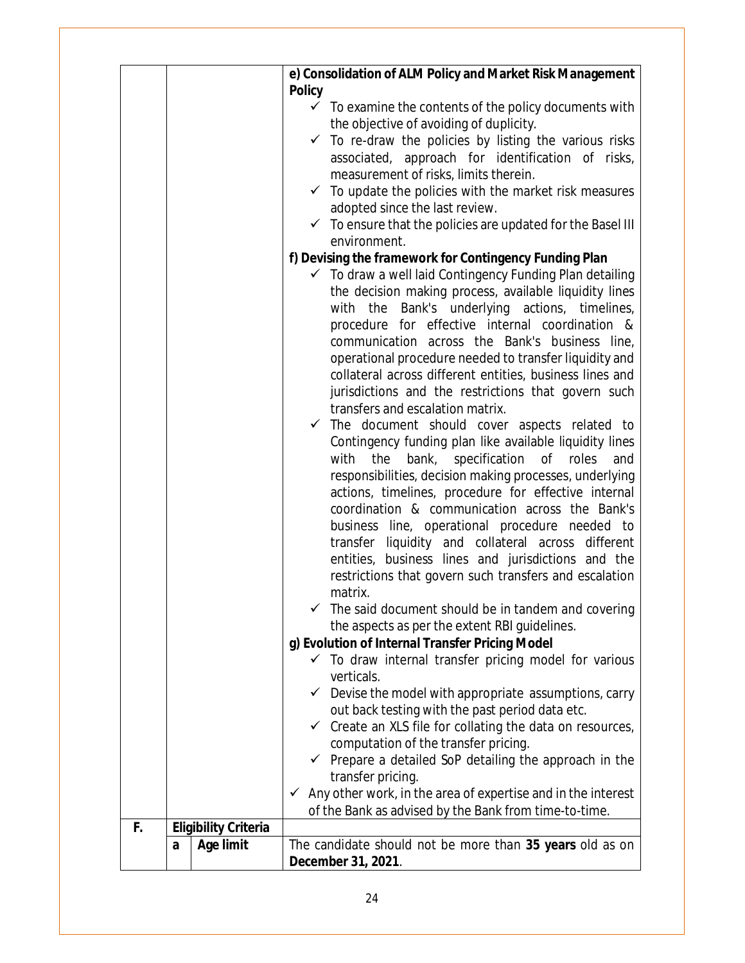|                                   | e) Consolidation of ALM Policy and Market Risk Management                                                           |
|-----------------------------------|---------------------------------------------------------------------------------------------------------------------|
|                                   | <b>Policy</b>                                                                                                       |
|                                   | $\checkmark$ To examine the contents of the policy documents with                                                   |
|                                   | the objective of avoiding of duplicity.                                                                             |
|                                   | $\checkmark$ To re-draw the policies by listing the various risks                                                   |
|                                   | associated, approach for identification of risks,                                                                   |
|                                   | measurement of risks, limits therein.                                                                               |
|                                   | $\checkmark$ To update the policies with the market risk measures                                                   |
|                                   | adopted since the last review.                                                                                      |
|                                   | $\checkmark$ To ensure that the policies are updated for the Basel III<br>environment.                              |
|                                   | f) Devising the framework for Contingency Funding Plan                                                              |
|                                   | $\checkmark$ To draw a well laid Contingency Funding Plan detailing                                                 |
|                                   | the decision making process, available liquidity lines                                                              |
|                                   | with the Bank's underlying actions, timelines,                                                                      |
|                                   | procedure for effective internal coordination &                                                                     |
|                                   | communication across the Bank's business line,                                                                      |
|                                   | operational procedure needed to transfer liquidity and                                                              |
|                                   | collateral across different entities, business lines and                                                            |
|                                   | jurisdictions and the restrictions that govern such                                                                 |
|                                   | transfers and escalation matrix.                                                                                    |
|                                   | $\checkmark$ The document should cover aspects related to                                                           |
|                                   | Contingency funding plan like available liquidity lines                                                             |
|                                   | bank,<br>specification of roles<br>with<br>the<br>and                                                               |
|                                   | responsibilities, decision making processes, underlying                                                             |
|                                   | actions, timelines, procedure for effective internal                                                                |
|                                   | coordination & communication across the Bank's                                                                      |
|                                   | business line, operational procedure needed to                                                                      |
|                                   | transfer liquidity and collateral across different                                                                  |
|                                   | entities, business lines and jurisdictions and the                                                                  |
|                                   | restrictions that govern such transfers and escalation                                                              |
|                                   | matrix.                                                                                                             |
|                                   | $\checkmark$ The said document should be in tandem and covering                                                     |
|                                   | the aspects as per the extent RBI guidelines.                                                                       |
|                                   | g) Evolution of Internal Transfer Pricing Model<br>$\checkmark$ To draw internal transfer pricing model for various |
|                                   | verticals.                                                                                                          |
|                                   | $\checkmark$ Devise the model with appropriate assumptions, carry                                                   |
|                                   | out back testing with the past period data etc.                                                                     |
|                                   | $\checkmark$ Create an XLS file for collating the data on resources,                                                |
|                                   | computation of the transfer pricing.                                                                                |
|                                   | $\checkmark$ Prepare a detailed SoP detailing the approach in the                                                   |
|                                   | transfer pricing.                                                                                                   |
|                                   | $\checkmark$ Any other work, in the area of expertise and in the interest                                           |
|                                   | of the Bank as advised by the Bank from time-to-time.                                                               |
| F.<br><b>Eligibility Criteria</b> |                                                                                                                     |
| <b>Age limit</b><br>a             | The candidate should not be more than 35 years old as on                                                            |
|                                   | December 31, 2021.                                                                                                  |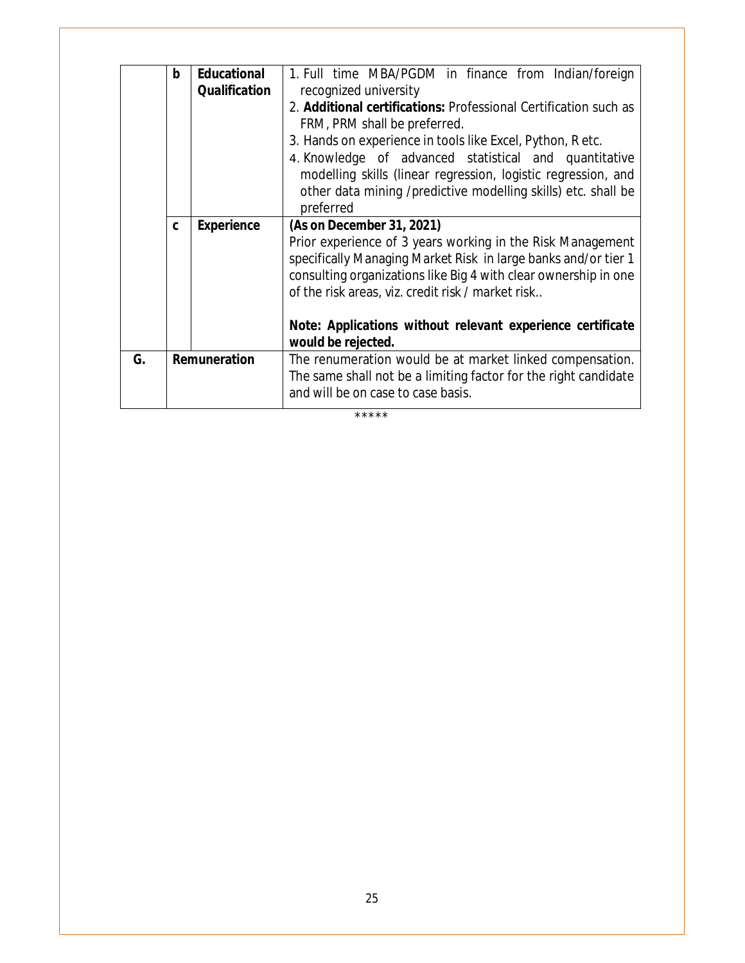| b |                      | 1. Full time MBA/PGDM in finance from Indian/foreign                                                  |
|---|----------------------|-------------------------------------------------------------------------------------------------------|
|   | <b>Qualification</b> | recognized university                                                                                 |
|   |                      | 2. <b>Additional certifications:</b> Professional Certification such as                               |
|   |                      | FRM, PRM shall be preferred.                                                                          |
|   |                      | 3. Hands on experience in tools like Excel, Python, R etc.                                            |
|   |                      | 4. Knowledge of advanced statistical and quantitative                                                 |
|   |                      | modelling skills (linear regression, logistic regression, and                                         |
|   |                      | other data mining /predictive modelling skills) etc. shall be                                         |
|   |                      | preferred                                                                                             |
|   |                      | (As on December 31, 2021)                                                                             |
|   |                      | Prior experience of 3 years working in the Risk Management                                            |
|   |                      | specifically Managing Market Risk in large banks and/or tier 1                                        |
|   |                      |                                                                                                       |
|   |                      | consulting organizations like Big 4 with clear ownership in one                                       |
|   |                      | of the risk areas, viz. credit risk / market risk                                                     |
|   |                      |                                                                                                       |
|   |                      | Note: Applications without relevant experience certificate                                            |
|   |                      | would be rejected.                                                                                    |
|   |                      |                                                                                                       |
|   | Remuneration         | The renumeration would be at market linked compensation.                                              |
|   |                      | The same shall not be a limiting factor for the right candidate<br>and will be on case to case basis. |
|   | C                    | <b>Educational</b><br><b>Experience</b>                                                               |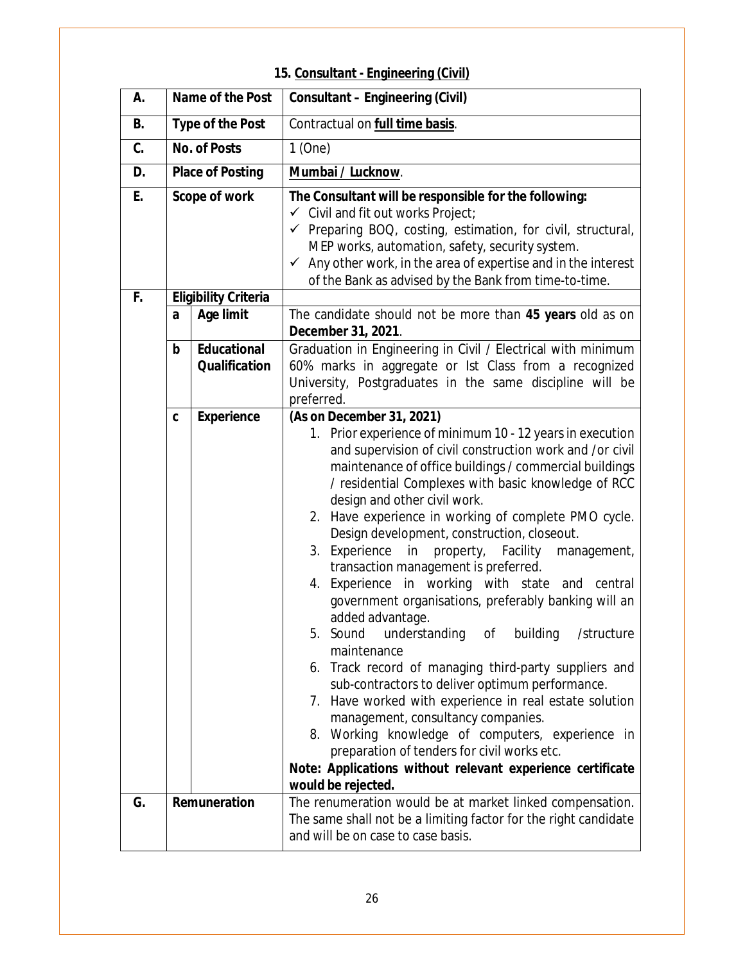# **15. Consultant - Engineering (Civil)**

| А.        |                         | Name of the Post                           | <b>Consultant - Engineering (Civil)</b>                                                                                                                                                                                                                                                                                                                                                                                                                                                                                                                                                                                                                                                                                                                                                                                                                                                                                                                                                                                                                                                                    |
|-----------|-------------------------|--------------------------------------------|------------------------------------------------------------------------------------------------------------------------------------------------------------------------------------------------------------------------------------------------------------------------------------------------------------------------------------------------------------------------------------------------------------------------------------------------------------------------------------------------------------------------------------------------------------------------------------------------------------------------------------------------------------------------------------------------------------------------------------------------------------------------------------------------------------------------------------------------------------------------------------------------------------------------------------------------------------------------------------------------------------------------------------------------------------------------------------------------------------|
| <b>B.</b> |                         | <b>Type of the Post</b>                    | Contractual on full time basis.                                                                                                                                                                                                                                                                                                                                                                                                                                                                                                                                                                                                                                                                                                                                                                                                                                                                                                                                                                                                                                                                            |
| C.        |                         | <b>No. of Posts</b>                        | $1$ (One)                                                                                                                                                                                                                                                                                                                                                                                                                                                                                                                                                                                                                                                                                                                                                                                                                                                                                                                                                                                                                                                                                                  |
| D.        | <b>Place of Posting</b> |                                            | Mumbai / Lucknow.                                                                                                                                                                                                                                                                                                                                                                                                                                                                                                                                                                                                                                                                                                                                                                                                                                                                                                                                                                                                                                                                                          |
| E.        | Scope of work           |                                            | The Consultant will be responsible for the following:<br>← Civil and fit out works Project;<br>√ Preparing BOQ, costing, estimation, for civil, structural,<br>MEP works, automation, safety, security system.<br>$\checkmark$ Any other work, in the area of expertise and in the interest<br>of the Bank as advised by the Bank from time-to-time.                                                                                                                                                                                                                                                                                                                                                                                                                                                                                                                                                                                                                                                                                                                                                       |
| F.        |                         | <b>Eligibility Criteria</b>                |                                                                                                                                                                                                                                                                                                                                                                                                                                                                                                                                                                                                                                                                                                                                                                                                                                                                                                                                                                                                                                                                                                            |
|           | a                       | <b>Age limit</b>                           | The candidate should not be more than 45 years old as on<br>December 31, 2021.                                                                                                                                                                                                                                                                                                                                                                                                                                                                                                                                                                                                                                                                                                                                                                                                                                                                                                                                                                                                                             |
|           | b                       | <b>Educational</b><br><b>Qualification</b> | Graduation in Engineering in Civil / Electrical with minimum<br>60% marks in aggregate or lst Class from a recognized<br>University, Postgraduates in the same discipline will be<br>preferred.                                                                                                                                                                                                                                                                                                                                                                                                                                                                                                                                                                                                                                                                                                                                                                                                                                                                                                            |
|           | C                       | <b>Experience</b>                          | (As on December 31, 2021)<br>1. Prior experience of minimum 10 - 12 years in execution<br>and supervision of civil construction work and /or civil<br>maintenance of office buildings / commercial buildings<br>/ residential Complexes with basic knowledge of RCC<br>design and other civil work.<br>2. Have experience in working of complete PMO cycle.<br>Design development, construction, closeout.<br>3. Experience in property, Facility management,<br>transaction management is preferred.<br>4. Experience in working with state and central<br>government organisations, preferably banking will an<br>added advantage.<br>understanding of building /structure<br>5. Sound<br>maintenance<br>6. Track record of managing third-party suppliers and<br>sub-contractors to deliver optimum performance.<br>7. Have worked with experience in real estate solution<br>management, consultancy companies.<br>8. Working knowledge of computers, experience in<br>preparation of tenders for civil works etc.<br>Note: Applications without relevant experience certificate<br>would be rejected. |
| G.        |                         | Remuneration                               | The renumeration would be at market linked compensation.<br>The same shall not be a limiting factor for the right candidate<br>and will be on case to case basis.                                                                                                                                                                                                                                                                                                                                                                                                                                                                                                                                                                                                                                                                                                                                                                                                                                                                                                                                          |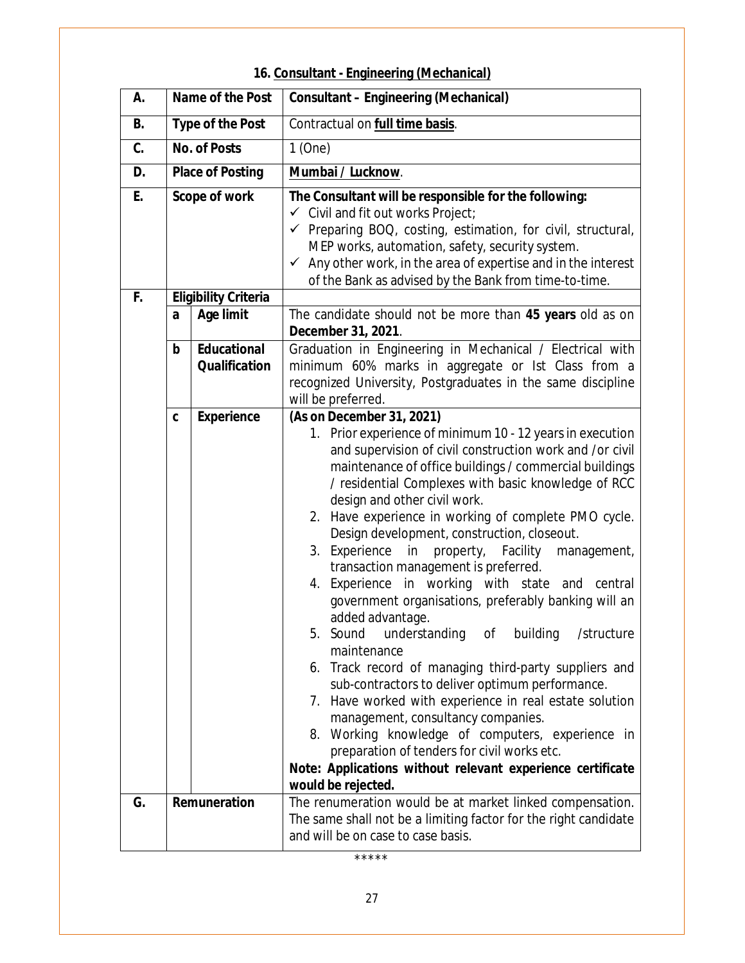# **16. Consultant - Engineering (Mechanical)**

| А. |                         | Name of the Post                           | <b>Consultant - Engineering (Mechanical)</b>                                                                                                                                                                                                                                                                                                                                                                                                                                                                                                                                                                                                                                                                                                                                                                                                                                                                                                                                                                                                                                                                     |
|----|-------------------------|--------------------------------------------|------------------------------------------------------------------------------------------------------------------------------------------------------------------------------------------------------------------------------------------------------------------------------------------------------------------------------------------------------------------------------------------------------------------------------------------------------------------------------------------------------------------------------------------------------------------------------------------------------------------------------------------------------------------------------------------------------------------------------------------------------------------------------------------------------------------------------------------------------------------------------------------------------------------------------------------------------------------------------------------------------------------------------------------------------------------------------------------------------------------|
| В. |                         | <b>Type of the Post</b>                    | Contractual on <b>full time basis</b> .                                                                                                                                                                                                                                                                                                                                                                                                                                                                                                                                                                                                                                                                                                                                                                                                                                                                                                                                                                                                                                                                          |
| C. |                         | <b>No. of Posts</b>                        | 1(One)                                                                                                                                                                                                                                                                                                                                                                                                                                                                                                                                                                                                                                                                                                                                                                                                                                                                                                                                                                                                                                                                                                           |
| D. | <b>Place of Posting</b> |                                            | Mumbai / Lucknow.                                                                                                                                                                                                                                                                                                                                                                                                                                                                                                                                                                                                                                                                                                                                                                                                                                                                                                                                                                                                                                                                                                |
| E. | Scope of work           |                                            | The Consultant will be responsible for the following:<br>$\checkmark$ Civil and fit out works Project;<br>√ Preparing BOQ, costing, estimation, for civil, structural,<br>MEP works, automation, safety, security system.<br>$\checkmark$ Any other work, in the area of expertise and in the interest<br>of the Bank as advised by the Bank from time-to-time.                                                                                                                                                                                                                                                                                                                                                                                                                                                                                                                                                                                                                                                                                                                                                  |
| F. |                         | <b>Eligibility Criteria</b>                |                                                                                                                                                                                                                                                                                                                                                                                                                                                                                                                                                                                                                                                                                                                                                                                                                                                                                                                                                                                                                                                                                                                  |
|    | a                       | <b>Age limit</b>                           | The candidate should not be more than 45 years old as on<br>December 31, 2021.                                                                                                                                                                                                                                                                                                                                                                                                                                                                                                                                                                                                                                                                                                                                                                                                                                                                                                                                                                                                                                   |
|    | $\mathbf b$             | <b>Educational</b><br><b>Qualification</b> | Graduation in Engineering in Mechanical / Electrical with<br>minimum 60% marks in aggregate or Ist Class from a<br>recognized University, Postgraduates in the same discipline<br>will be preferred.                                                                                                                                                                                                                                                                                                                                                                                                                                                                                                                                                                                                                                                                                                                                                                                                                                                                                                             |
|    | C                       | <b>Experience</b>                          | (As on December 31, 2021)<br>1. Prior experience of minimum 10 - 12 years in execution<br>and supervision of civil construction work and /or civil<br>maintenance of office buildings / commercial buildings<br>/ residential Complexes with basic knowledge of RCC<br>design and other civil work.<br>2. Have experience in working of complete PMO cycle.<br>Design development, construction, closeout.<br>3. Experience in<br>property, Facility<br>management,<br>transaction management is preferred.<br>4. Experience in working with state and central<br>government organisations, preferably banking will an<br>added advantage.<br>understanding of building /structure<br>5. Sound<br>maintenance<br>6. Track record of managing third-party suppliers and<br>sub-contractors to deliver optimum performance.<br>7. Have worked with experience in real estate solution<br>management, consultancy companies.<br>8. Working knowledge of computers, experience in<br>preparation of tenders for civil works etc.<br>Note: Applications without relevant experience certificate<br>would be rejected. |
| G. | Remuneration            |                                            | The renumeration would be at market linked compensation.<br>The same shall not be a limiting factor for the right candidate<br>and will be on case to case basis.                                                                                                                                                                                                                                                                                                                                                                                                                                                                                                                                                                                                                                                                                                                                                                                                                                                                                                                                                |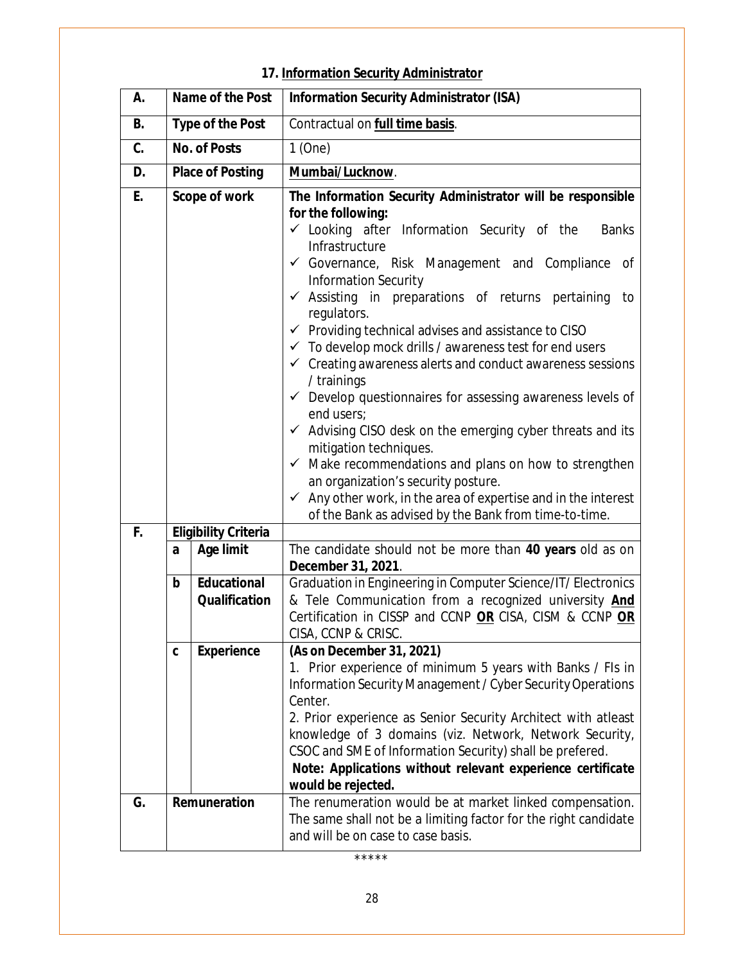# **17. Information Security Administrator**

| А. |                         | Name of the Post                           | <b>Information Security Administrator (ISA)</b>                                                                                                                                                                                                                                                                                                                                                                                                                                                                                                                                                                                                                                                                                                                                                                                                                                                                                                                                                                    |
|----|-------------------------|--------------------------------------------|--------------------------------------------------------------------------------------------------------------------------------------------------------------------------------------------------------------------------------------------------------------------------------------------------------------------------------------------------------------------------------------------------------------------------------------------------------------------------------------------------------------------------------------------------------------------------------------------------------------------------------------------------------------------------------------------------------------------------------------------------------------------------------------------------------------------------------------------------------------------------------------------------------------------------------------------------------------------------------------------------------------------|
| В. |                         | <b>Type of the Post</b>                    | Contractual on full time basis.                                                                                                                                                                                                                                                                                                                                                                                                                                                                                                                                                                                                                                                                                                                                                                                                                                                                                                                                                                                    |
| C. | <b>No. of Posts</b>     |                                            | 1(One)                                                                                                                                                                                                                                                                                                                                                                                                                                                                                                                                                                                                                                                                                                                                                                                                                                                                                                                                                                                                             |
| D. | <b>Place of Posting</b> |                                            | Mumbai/Lucknow.                                                                                                                                                                                                                                                                                                                                                                                                                                                                                                                                                                                                                                                                                                                                                                                                                                                                                                                                                                                                    |
| E. | <b>Scope of work</b>    |                                            | The Information Security Administrator will be responsible<br>for the following:<br>$\checkmark$ Looking after Information Security of the<br><b>Banks</b><br>Infrastructure<br>Governance, Risk Management and Compliance of<br><b>Information Security</b><br>$\checkmark$ Assisting in preparations of returns pertaining<br>to<br>regulators.<br>$\checkmark$ Providing technical advises and assistance to CISO<br>$\checkmark$ To develop mock drills / awareness test for end users<br>$\checkmark$ Creating awareness alerts and conduct awareness sessions<br>/ trainings<br>$\checkmark$ Develop questionnaires for assessing awareness levels of<br>end users:<br>✔ Advising CISO desk on the emerging cyber threats and its<br>mitigation techniques.<br>$\checkmark$ Make recommendations and plans on how to strengthen<br>an organization's security posture.<br>$\checkmark$ Any other work, in the area of expertise and in the interest<br>of the Bank as advised by the Bank from time-to-time. |
| F. |                         | <b>Eligibility Criteria</b>                |                                                                                                                                                                                                                                                                                                                                                                                                                                                                                                                                                                                                                                                                                                                                                                                                                                                                                                                                                                                                                    |
|    | a                       | <b>Age limit</b>                           | The candidate should not be more than 40 years old as on<br>December 31, 2021.                                                                                                                                                                                                                                                                                                                                                                                                                                                                                                                                                                                                                                                                                                                                                                                                                                                                                                                                     |
|    | b                       | <b>Educational</b><br><b>Qualification</b> | Graduation in Engineering in Computer Science/IT/ Electronics<br>& Tele Communication from a recognized university And<br>Certification in CISSP and CCNP OR CISA, CISM & CCNP OR<br>CISA, CCNP & CRISC.                                                                                                                                                                                                                                                                                                                                                                                                                                                                                                                                                                                                                                                                                                                                                                                                           |
|    | C                       | <b>Experience</b>                          | (As on December 31, 2021)<br>1. Prior experience of minimum 5 years with Banks / Fls in<br>Information Security Management / Cyber Security Operations<br>Center.<br>2. Prior experience as Senior Security Architect with atleast<br>knowledge of 3 domains (viz. Network, Network Security,<br>CSOC and SME of Information Security) shall be prefered.<br>Note: Applications without relevant experience certificate<br>would be rejected.                                                                                                                                                                                                                                                                                                                                                                                                                                                                                                                                                                      |
| G. |                         | Remuneration                               | The renumeration would be at market linked compensation.<br>The same shall not be a limiting factor for the right candidate<br>and will be on case to case basis.                                                                                                                                                                                                                                                                                                                                                                                                                                                                                                                                                                                                                                                                                                                                                                                                                                                  |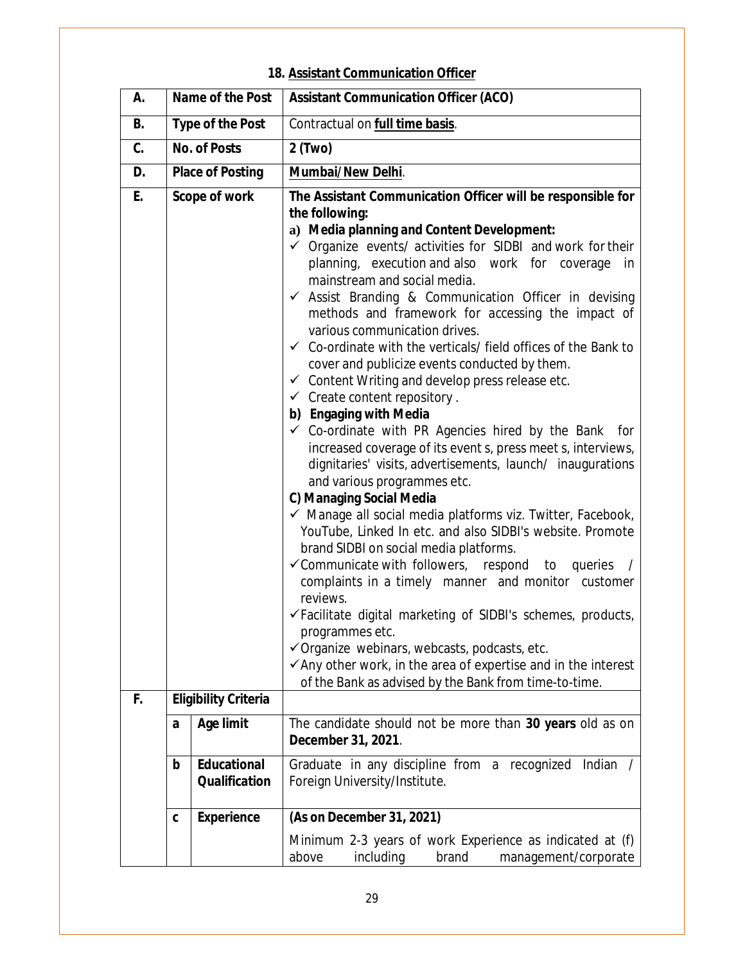## **18. Assistant Communication Officer**

| А.        |                         | Name of the Post                           | <b>Assistant Communication Officer (ACO)</b>                                                                                                                                                                                                                                                                                                                                                                                                                                                                                                                                                                                                                                                                                                                                                                                                                                                                                                                                                                                                                                                                                                                                                                                                                                                                                                                                                                                                                                                                                                                                                  |
|-----------|-------------------------|--------------------------------------------|-----------------------------------------------------------------------------------------------------------------------------------------------------------------------------------------------------------------------------------------------------------------------------------------------------------------------------------------------------------------------------------------------------------------------------------------------------------------------------------------------------------------------------------------------------------------------------------------------------------------------------------------------------------------------------------------------------------------------------------------------------------------------------------------------------------------------------------------------------------------------------------------------------------------------------------------------------------------------------------------------------------------------------------------------------------------------------------------------------------------------------------------------------------------------------------------------------------------------------------------------------------------------------------------------------------------------------------------------------------------------------------------------------------------------------------------------------------------------------------------------------------------------------------------------------------------------------------------------|
| <b>B.</b> |                         | <b>Type of the Post</b>                    | Contractual on full time basis.                                                                                                                                                                                                                                                                                                                                                                                                                                                                                                                                                                                                                                                                                                                                                                                                                                                                                                                                                                                                                                                                                                                                                                                                                                                                                                                                                                                                                                                                                                                                                               |
| C.        | <b>No. of Posts</b>     |                                            | 2 (Two)                                                                                                                                                                                                                                                                                                                                                                                                                                                                                                                                                                                                                                                                                                                                                                                                                                                                                                                                                                                                                                                                                                                                                                                                                                                                                                                                                                                                                                                                                                                                                                                       |
| D.        | <b>Place of Posting</b> |                                            | Mumbai/New Delhi.                                                                                                                                                                                                                                                                                                                                                                                                                                                                                                                                                                                                                                                                                                                                                                                                                                                                                                                                                                                                                                                                                                                                                                                                                                                                                                                                                                                                                                                                                                                                                                             |
| E.        |                         | Scope of work                              | The Assistant Communication Officer will be responsible for<br>the following:<br>a) Media planning and Content Development:<br>$\checkmark$ Organize events/ activities for SIDBI and work for their<br>planning, execution and also work for coverage<br>in<br>mainstream and social media.<br>$\checkmark$ Assist Branding & Communication Officer in devising<br>methods and framework for accessing the impact of<br>various communication drives.<br>$\checkmark$ Co-ordinate with the verticals/ field offices of the Bank to<br>cover and publicize events conducted by them.<br>$\checkmark$ Content Writing and develop press release etc.<br>$\checkmark$ Create content repository.<br>b) Engaging with Media<br>$\checkmark$ Co-ordinate with PR Agencies hired by the Bank for<br>increased coverage of its event s, press meet s, interviews,<br>dignitaries' visits, advertisements, launch/ inaugurations<br>and various programmes etc.<br>C) Managing Social Media<br>$\checkmark$ Manage all social media platforms viz. Twitter, Facebook,<br>YouTube, Linked In etc. and also SIDBI's website. Promote<br>brand SIDBI on social media platforms.<br>$\checkmark$ Communicate with followers, respond to<br>queries<br>complaints in a timely manner and monitor customer<br>reviews.<br>√Facilitate digital marketing of SIDBI's schemes, products,<br>programmes etc.<br>$\checkmark$ Organize webinars, webcasts, podcasts, etc.<br>$\checkmark$ Any other work, in the area of expertise and in the interest<br>of the Bank as advised by the Bank from time-to-time. |
| F.        |                         | <b>Eligibility Criteria</b>                |                                                                                                                                                                                                                                                                                                                                                                                                                                                                                                                                                                                                                                                                                                                                                                                                                                                                                                                                                                                                                                                                                                                                                                                                                                                                                                                                                                                                                                                                                                                                                                                               |
|           | a                       | <b>Age limit</b>                           | The candidate should not be more than 30 years old as on<br>December 31, 2021.                                                                                                                                                                                                                                                                                                                                                                                                                                                                                                                                                                                                                                                                                                                                                                                                                                                                                                                                                                                                                                                                                                                                                                                                                                                                                                                                                                                                                                                                                                                |
|           | $\mathbf b$             | <b>Educational</b><br><b>Qualification</b> | Graduate in any discipline from a recognized Indian<br>Foreign University/Institute.                                                                                                                                                                                                                                                                                                                                                                                                                                                                                                                                                                                                                                                                                                                                                                                                                                                                                                                                                                                                                                                                                                                                                                                                                                                                                                                                                                                                                                                                                                          |
|           | C                       | <b>Experience</b>                          | (As on December 31, 2021)<br>Minimum 2-3 years of work Experience as indicated at (f)<br>above<br>including<br>brand<br>management/corporate                                                                                                                                                                                                                                                                                                                                                                                                                                                                                                                                                                                                                                                                                                                                                                                                                                                                                                                                                                                                                                                                                                                                                                                                                                                                                                                                                                                                                                                  |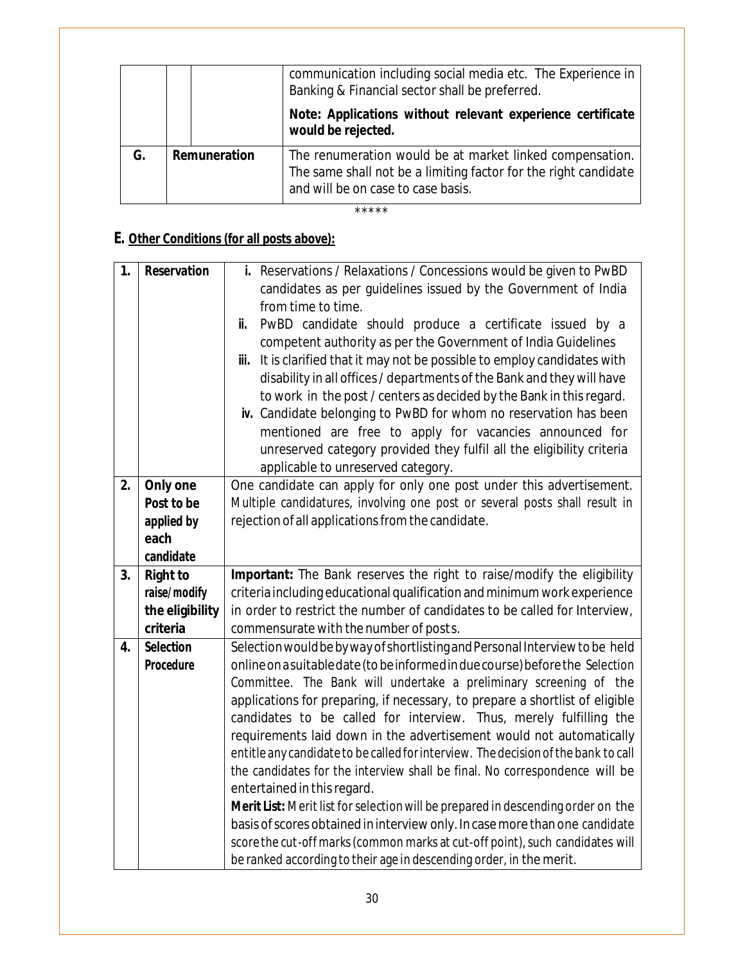|    |              | communication including social media etc. The Experience in<br>Banking & Financial sector shall be preferred.<br>Note: Applications without relevant experience certificate<br>would be rejected. |
|----|--------------|---------------------------------------------------------------------------------------------------------------------------------------------------------------------------------------------------|
| G. | Remuneration | The renumeration would be at market linked compensation.<br>The same shall not be a limiting factor for the right candidate<br>and will be on case to case basis.                                 |

# **E. Other Conditions (for all posts above):**

| 1. | <b>Reservation</b> | i. Reservations / Relaxations / Concessions would be given to PwBD                                                                                   |
|----|--------------------|------------------------------------------------------------------------------------------------------------------------------------------------------|
|    |                    | candidates as per guidelines issued by the Government of India                                                                                       |
|    |                    | from time to time.                                                                                                                                   |
|    |                    | PwBD candidate should produce a certificate issued by a<br>ii.                                                                                       |
|    |                    | competent authority as per the Government of India Guidelines                                                                                        |
|    |                    | iii. It is clarified that it may not be possible to employ candidates with                                                                           |
|    |                    | disability in all offices / departments of the Bank and they will have                                                                               |
|    |                    | to work in the post / centers as decided by the Bank in this regard.                                                                                 |
|    |                    | iv. Candidate belonging to PwBD for whom no reservation has been                                                                                     |
|    |                    | mentioned are free to apply for vacancies announced for                                                                                              |
|    |                    | unreserved category provided they fulfil all the eligibility criteria                                                                                |
|    |                    | applicable to unreserved category.                                                                                                                   |
| 2. | Only one           | One candidate can apply for only one post under this advertisement.                                                                                  |
|    | Post to be         | Multiple candidatures, involving one post or several posts shall result in                                                                           |
|    | applied by         | rejection of all applications from the candidate.                                                                                                    |
|    | each               |                                                                                                                                                      |
|    | candidate          |                                                                                                                                                      |
|    |                    |                                                                                                                                                      |
| 3. | <b>Right to</b>    | Important: The Bank reserves the right to raise/modify the eligibility                                                                               |
|    | raise/modify       | criteria including educational qualification and minimum work experience                                                                             |
|    | the eligibility    | in order to restrict the number of candidates to be called for Interview,                                                                            |
|    | criteria           | commensurate with the number of posts.                                                                                                               |
| 4. | <b>Selection</b>   | Selection would be by way of shortlisting and Personal Interview to be held                                                                          |
|    | Procedure          | online on a suitable date (to be informed in due course) before the Selection                                                                        |
|    |                    | Committee. The Bank will undertake a preliminary screening of the                                                                                    |
|    |                    | applications for preparing, if necessary, to prepare a shortlist of eligible                                                                         |
|    |                    | candidates to be called for interview. Thus, merely fulfilling the                                                                                   |
|    |                    | requirements laid down in the advertisement would not automatically                                                                                  |
|    |                    | entitle any candidate to be called for interview. The decision of the bank to call                                                                   |
|    |                    | the candidates for the interview shall be final. No correspondence will be                                                                           |
|    |                    | entertained in this regard.                                                                                                                          |
|    |                    | Merit List: Merit list for selection will be prepared in descending order on the                                                                     |
|    |                    | basis of scores obtained in interview only. In case more than one candidate                                                                          |
|    |                    | score the cut-off marks (common marks at cut-off point), such candidates will<br>be ranked according to their age in descending order, in the merit. |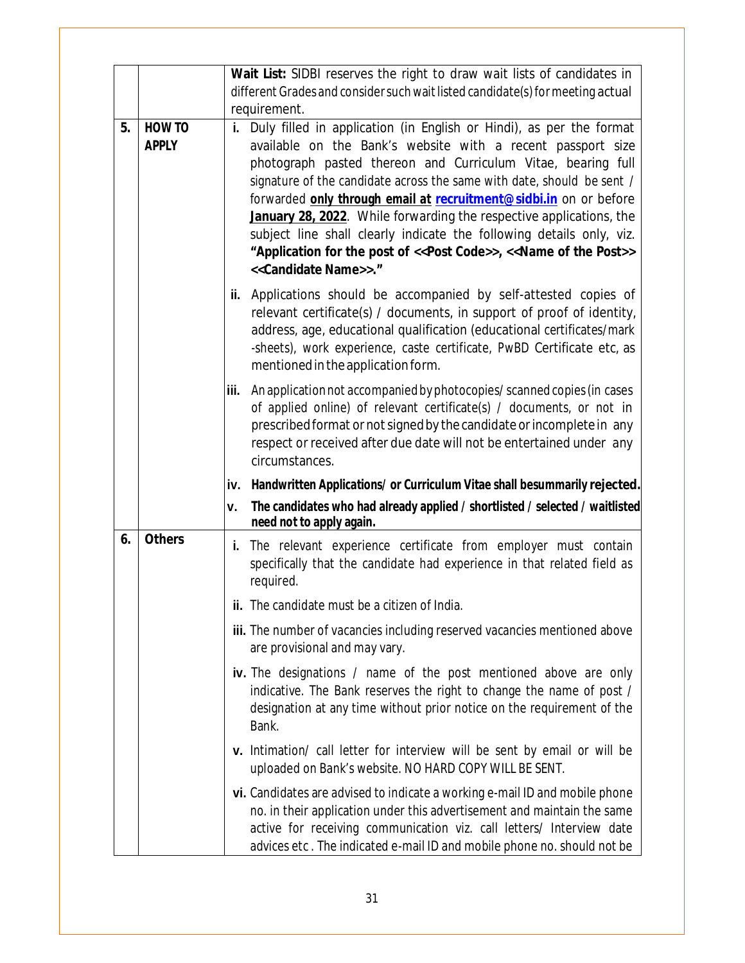|    |                               | Wait List: SIDBI reserves the right to draw wait lists of candidates in                                                                                                                                                                                                                                                                                                                                                                                                                                                                                                                                              |
|----|-------------------------------|----------------------------------------------------------------------------------------------------------------------------------------------------------------------------------------------------------------------------------------------------------------------------------------------------------------------------------------------------------------------------------------------------------------------------------------------------------------------------------------------------------------------------------------------------------------------------------------------------------------------|
|    |                               | different Grades and consider such wait listed candidate(s) for meeting actual<br>requirement.                                                                                                                                                                                                                                                                                                                                                                                                                                                                                                                       |
| 5. | <b>HOW TO</b><br><b>APPLY</b> | i. Duly filled in application (in English or Hindi), as per the format<br>available on the Bank's website with a recent passport size<br>photograph pasted thereon and Curriculum Vitae, bearing full<br>signature of the candidate across the same with date, should be sent /<br>forwarded only through email at recruitment@sidbi.in on or before<br>January 28, 2022. While forwarding the respective applications, the<br>subject line shall clearly indicate the following details only, viz.<br>"Application for the post of << Post Code>>, << Name of the Post>><br>< <candidate name="">&gt;."</candidate> |
|    |                               | ii. Applications should be accompanied by self-attested copies of<br>relevant certificate(s) / documents, in support of proof of identity,<br>address, age, educational qualification (educational certificates/mark<br>-sheets), work experience, caste certificate, PwBD Certificate etc, as<br>mentioned in the application form.                                                                                                                                                                                                                                                                                 |
|    |                               | An application not accompanied by photocopies/ scanned copies (in cases<br>iii.<br>of applied online) of relevant certificate(s) / documents, or not in<br>prescribed format or not signed by the candidate or incomplete in any<br>respect or received after due date will not be entertained under any<br>circumstances.                                                                                                                                                                                                                                                                                           |
|    |                               | iv. Handwritten Applications/ or Curriculum Vitae shall besummarily rejected.                                                                                                                                                                                                                                                                                                                                                                                                                                                                                                                                        |
|    |                               | The candidates who had already applied / shortlisted / selected / waitlisted<br>۷.<br>need not to apply again.                                                                                                                                                                                                                                                                                                                                                                                                                                                                                                       |
| 6. | <b>Others</b>                 | i. The relevant experience certificate from employer must contain<br>specifically that the candidate had experience in that related field as<br>required.                                                                                                                                                                                                                                                                                                                                                                                                                                                            |
|    |                               | ii. The candidate must be a citizen of India.                                                                                                                                                                                                                                                                                                                                                                                                                                                                                                                                                                        |
|    |                               | iii. The number of vacancies including reserved vacancies mentioned above<br>are provisional and may vary.                                                                                                                                                                                                                                                                                                                                                                                                                                                                                                           |
|    |                               | iv. The designations / name of the post mentioned above are only<br>indicative. The Bank reserves the right to change the name of post /<br>designation at any time without prior notice on the requirement of the<br>Bank.                                                                                                                                                                                                                                                                                                                                                                                          |
|    |                               | v. Intimation/ call letter for interview will be sent by email or will be<br>uploaded on Bank's website. NO HARD COPY WILL BE SENT.                                                                                                                                                                                                                                                                                                                                                                                                                                                                                  |
|    |                               | vi. Candidates are advised to indicate a working e-mail ID and mobile phone<br>no. in their application under this advertisement and maintain the same<br>active for receiving communication viz. call letters/ Interview date<br>advices etc. The indicated e-mail ID and mobile phone no. should not be                                                                                                                                                                                                                                                                                                            |